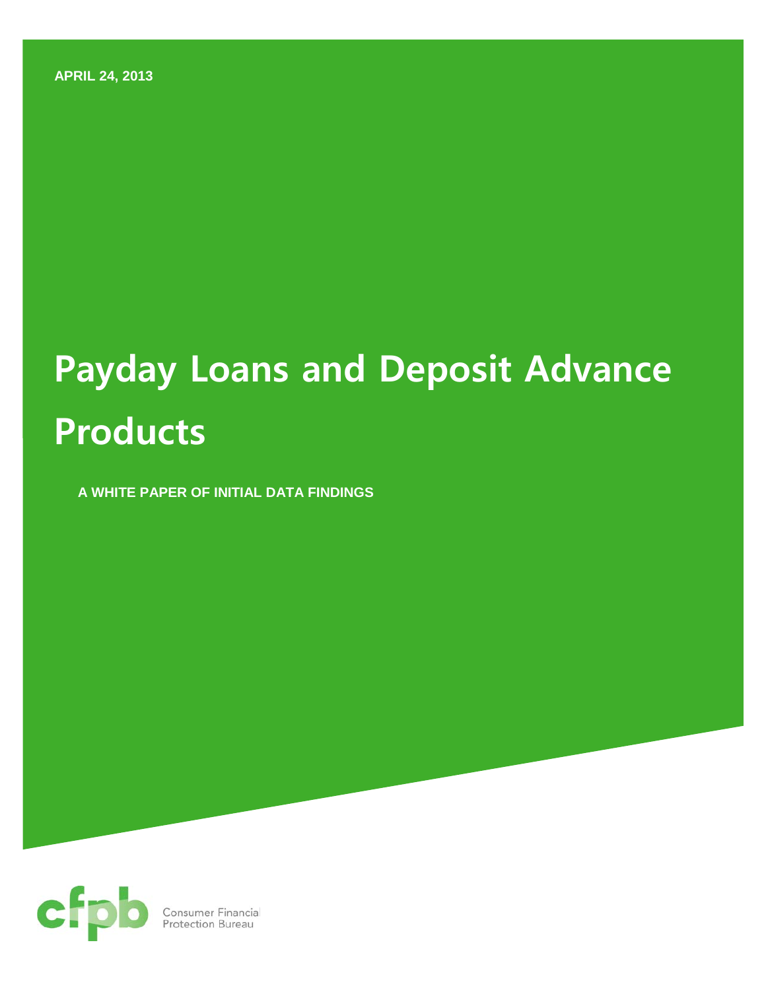**APRIL 24, 2013**

# **Payday Loans and Deposit Advance Products**

**A WHITE PAPER OF INITIAL DATA FINDINGS** 

<span id="page-0-0"></span>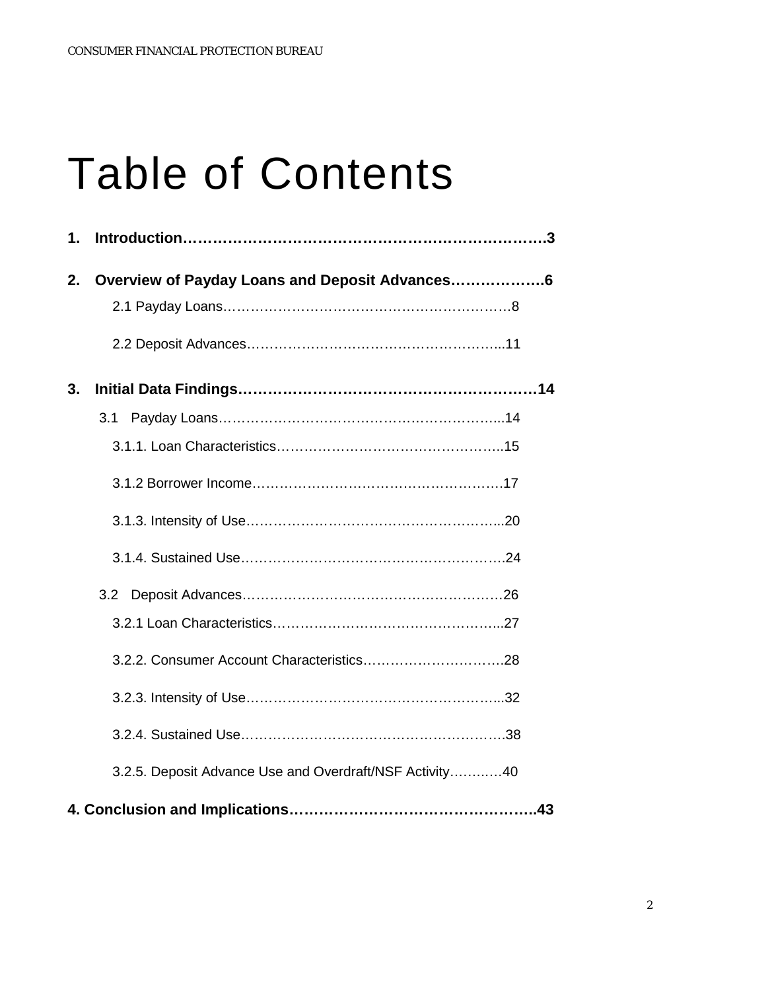# Table of Contents

| 1. |                                                         |  |
|----|---------------------------------------------------------|--|
| 2. |                                                         |  |
|    |                                                         |  |
|    |                                                         |  |
| 3. |                                                         |  |
|    | 3.1                                                     |  |
|    |                                                         |  |
|    |                                                         |  |
|    |                                                         |  |
|    |                                                         |  |
|    |                                                         |  |
|    |                                                         |  |
|    |                                                         |  |
|    |                                                         |  |
|    |                                                         |  |
|    | 3.2.5. Deposit Advance Use and Overdraft/NSF Activity40 |  |
|    |                                                         |  |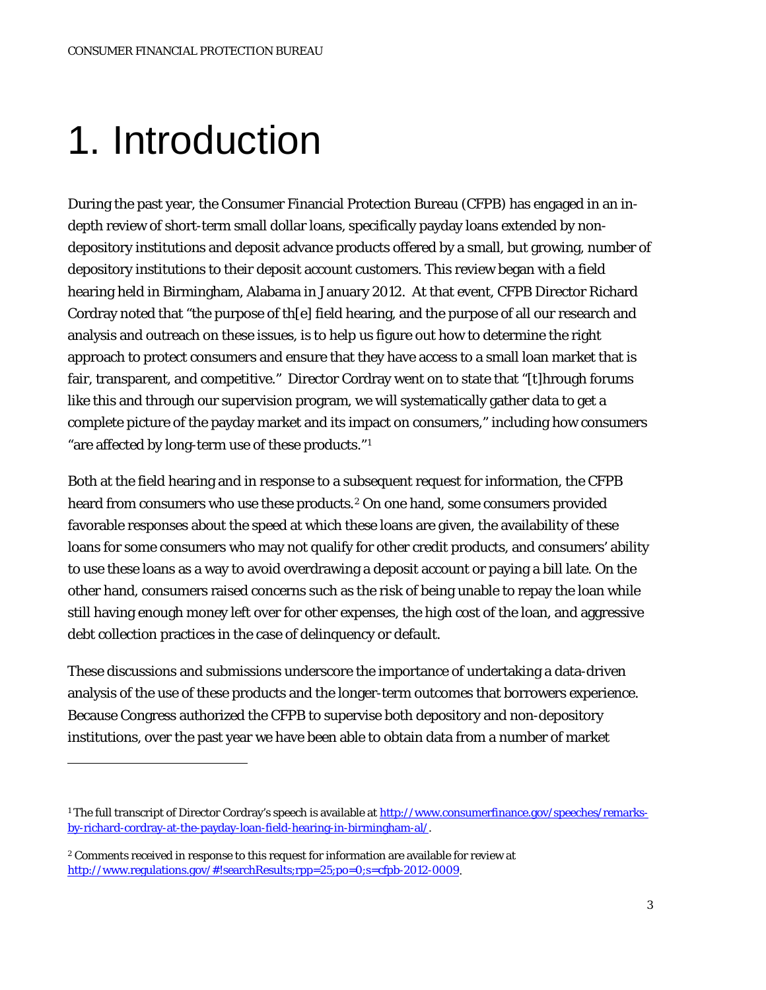# 1. Introduction

During the past year, the Consumer Financial Protection Bureau (CFPB) has engaged in an indepth review of short-term small dollar loans, specifically payday loans extended by nondepository institutions and deposit advance products offered by a small, but growing, number of depository institutions to their deposit account customers. This review began with a field hearing held in Birmingham, Alabama in January 2012. At that event, CFPB Director Richard Cordray noted that "the purpose of th[e] field hearing, and the purpose of all our research and analysis and outreach on these issues, is to help us figure out how to determine the right approach to protect consumers and ensure that they have access to a small loan market that is fair, transparent, and competitive." Director Cordray went on to state that "[t]hrough forums like this and through our supervision program, we will systematically gather data to get a complete picture of the payday market and its impact on consumers," including how consumers "are affected by long-term use of these products."[1](#page-0-0) 

Both at the field hearing and in response to a subsequent request for information, the CFPB heard from consumers who use these products.<sup>[2](#page-2-0)</sup> On one hand, some consumers provided favorable responses about the speed at which these loans are given, the availability of these loans for some consumers who may not qualify for other credit products, and consumers' ability to use these loans as a way to avoid overdrawing a deposit account or paying a bill late. On the other hand, consumers raised concerns such as the risk of being unable to repay the loan while still having enough money left over for other expenses, the high cost of the loan, and aggressive debt collection practices in the case of delinquency or default.

These discussions and submissions underscore the importance of undertaking a data-driven analysis of the use of these products and the longer-term outcomes that borrowers experience. Because Congress authorized the CFPB to supervise both depository and non-depository institutions, over the past year we have been able to obtain data from a number of market

<span id="page-2-1"></span> $\overline{a}$ 

<sup>1</sup> The full transcript of Director Cordray's speech is available a[t http://www.consumerfinance.gov/speeches/remarks](http://www.consumerfinance.gov/speeches/remarks-by-richard-cordray-at-the-payday-loan-field-hearing-in-birmingham-al/)[by-richard-cordray-at-the-payday-loan-field-hearing-in-birmingham-al/.](http://www.consumerfinance.gov/speeches/remarks-by-richard-cordray-at-the-payday-loan-field-hearing-in-birmingham-al/)

<span id="page-2-0"></span><sup>2</sup> Comments received in response to this request for information are available for review at [http://www.regulations.gov/#!searchResults;rpp=25;po=0;s=cfpb-2012-0009.](http://www.regulations.gov/#!searchResults;rpp=25;po=0;s=cfpb-2012-0009)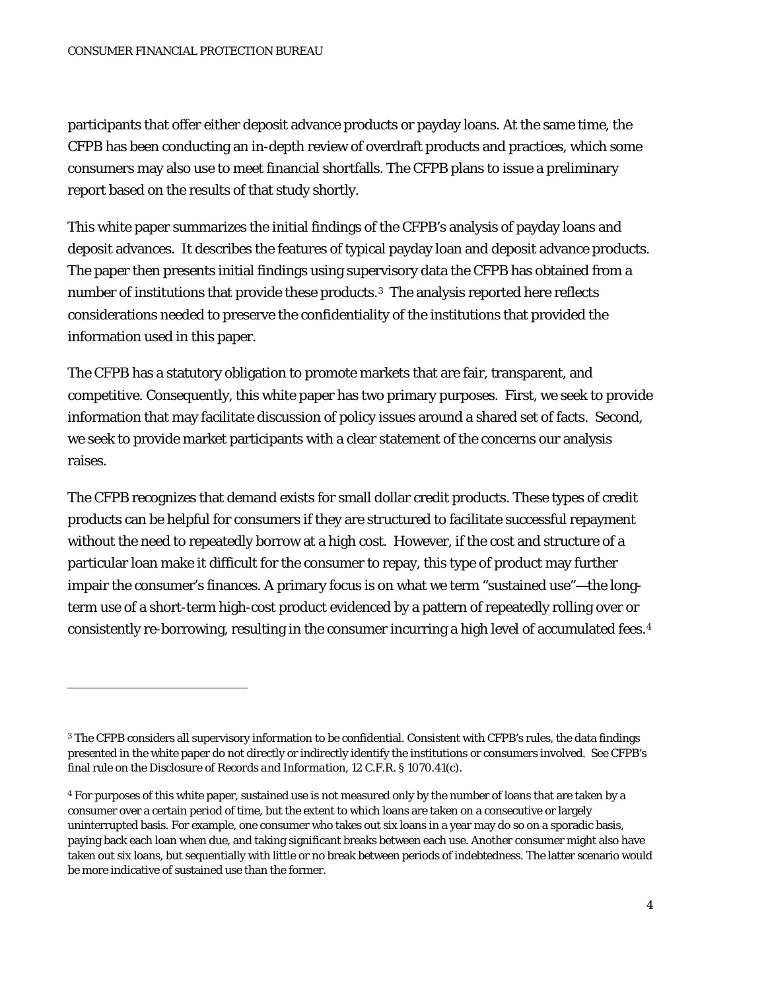participants that offer either deposit advance products or payday loans. At the same time, the CFPB has been conducting an in-depth review of overdraft products and practices, which some consumers may also use to meet financial shortfalls. The CFPB plans to issue a preliminary report based on the results of that study shortly.

This white paper summarizes the initial findings of the CFPB's analysis of payday loans and deposit advances. It describes the features of typical payday loan and deposit advance products. The paper then presents initial findings using supervisory data the CFPB has obtained from a number of institutions that provide these products.<sup>[3](#page-2-1)</sup> The analysis reported here reflects considerations needed to preserve the confidentiality of the institutions that provided the information used in this paper.

The CFPB has a statutory obligation to promote markets that are fair, transparent, and competitive. Consequently, this white paper has two primary purposes. First, we seek to provide information that may facilitate discussion of policy issues around a shared set of facts. Second, we seek to provide market participants with a clear statement of the concerns our analysis raises.

The CFPB recognizes that demand exists for small dollar credit products. These types of credit products can be helpful for consumers if they are structured to facilitate successful repayment without the need to repeatedly borrow at a high cost. However, if the cost and structure of a particular loan make it difficult for the consumer to repay, this type of product may further impair the consumer's finances. A primary focus is on what we term "sustained use"—the longterm use of a short-term high-cost product evidenced by a pattern of repeatedly rolling over or consistently re-borrowing, resulting in the consumer incurring a high level of accumulated fees.[4](#page-3-0)

<span id="page-3-1"></span><sup>3</sup> The CFPB considers all supervisory information to be confidential. Consistent with CFPB's rules, the data findings presented in the white paper do not directly or indirectly identify the institutions or consumers involved. See CFPB's final rule on the *Disclosure of Records and Information,* 12 C.F.R. § 1070.41(c)*.*

<span id="page-3-0"></span><sup>4</sup> For purposes of this white paper, sustained use is not measured only by the number of loans that are taken by a consumer over a certain period of time, but the extent to which loans are taken on a consecutive or largely uninterrupted basis. For example, one consumer who takes out six loans in a year may do so on a sporadic basis, paying back each loan when due, and taking significant breaks between each use. Another consumer might also have taken out six loans, but sequentially with little or no break between periods of indebtedness. The latter scenario would be more indicative of sustained use than the former.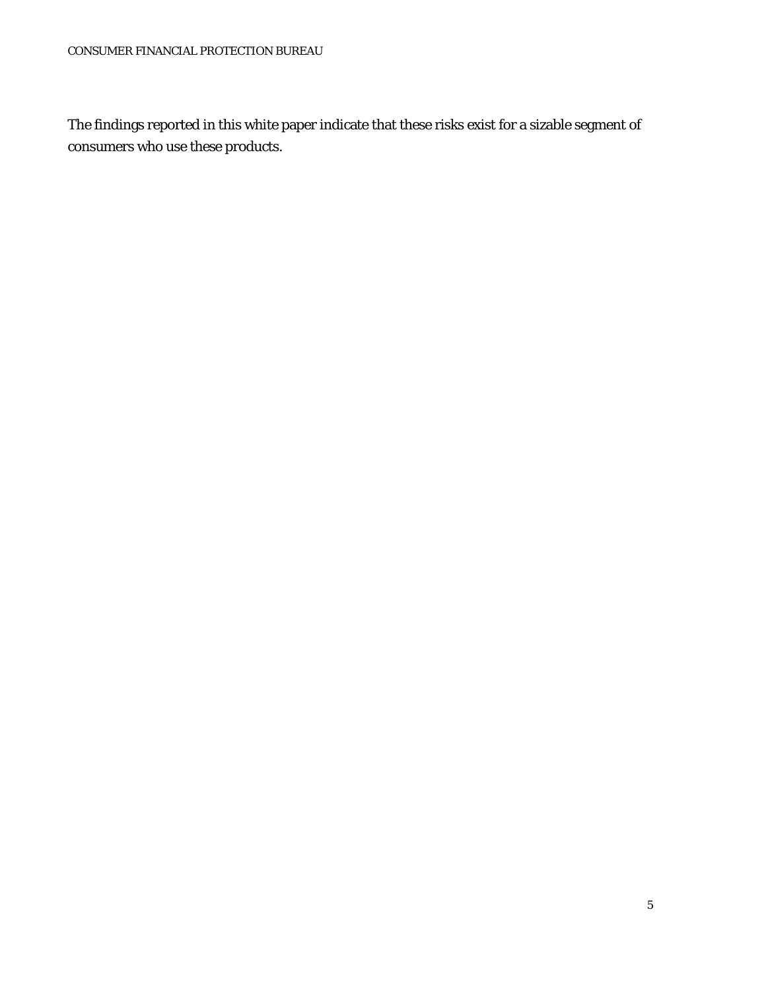The findings reported in this white paper indicate that these risks exist for a sizable segment of consumers who use these products.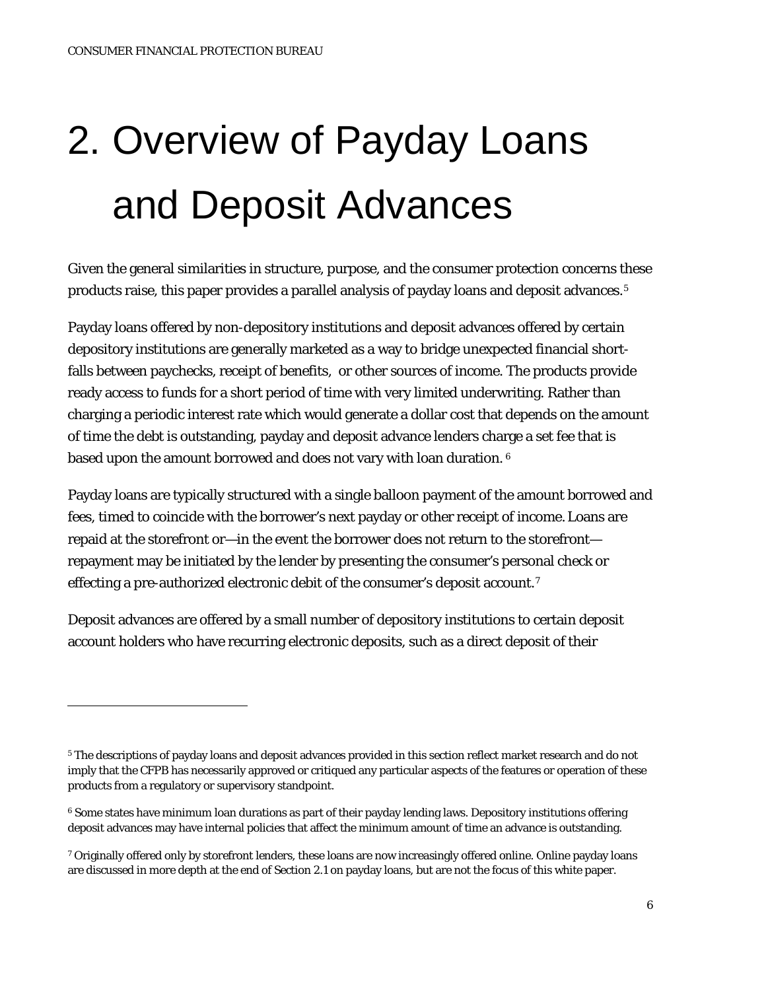# 2. Overview of Payday Loans and Deposit Advances

Given the general similarities in structure, purpose, and the consumer protection concerns these products raise, this paper provides a parallel analysis of payday loans and deposit advances.<sup>5</sup>

Payday loans offered by non-depository institutions and deposit advances offered by certain depository institutions are generally marketed as a way to bridge unexpected financial shortfalls between paychecks, receipt of benefits, or other sources of income. The products provide ready access to funds for a short period of time with very limited underwriting. Rather than charging a periodic interest rate which would generate a dollar cost that depends on the amount of time the debt is outstanding, payday and deposit advance lenders charge a set fee that is based upon the amount borrowed and does not vary with loan duration. [6](#page-5-0)

Payday loans are typically structured with a single balloon payment of the amount borrowed and fees, timed to coincide with the borrower's next payday or other receipt of income.Loans are repaid at the storefront or—in the event the borrower does not return to the storefront repayment may be initiated by the lender by presenting the consumer's personal check or effecting a pre-authorized electronic debit of the consumer's deposit account.<sup>[7](#page-5-1)</sup>

Deposit advances are offered by a small number of depository institutions to certain deposit account holders who have recurring electronic deposits, such as a direct deposit of their

<span id="page-5-2"></span><sup>5</sup> The descriptions of payday loans and deposit advances provided in this section reflect market research and do not imply that the CFPB has necessarily approved or critiqued any particular aspects of the features or operation of these products from a regulatory or supervisory standpoint.

<span id="page-5-0"></span><sup>&</sup>lt;sup>6</sup> Some states have minimum loan durations as part of their payday lending laws. Depository institutions offering deposit advances may have internal policies that affect the minimum amount of time an advance is outstanding.

<span id="page-5-1"></span><sup>7</sup> Originally offered only by storefront lenders, these loans are now increasingly offered online. Online payday loans are discussed in more depth at the end of Section 2.1 on payday loans, but are not the focus of this white paper.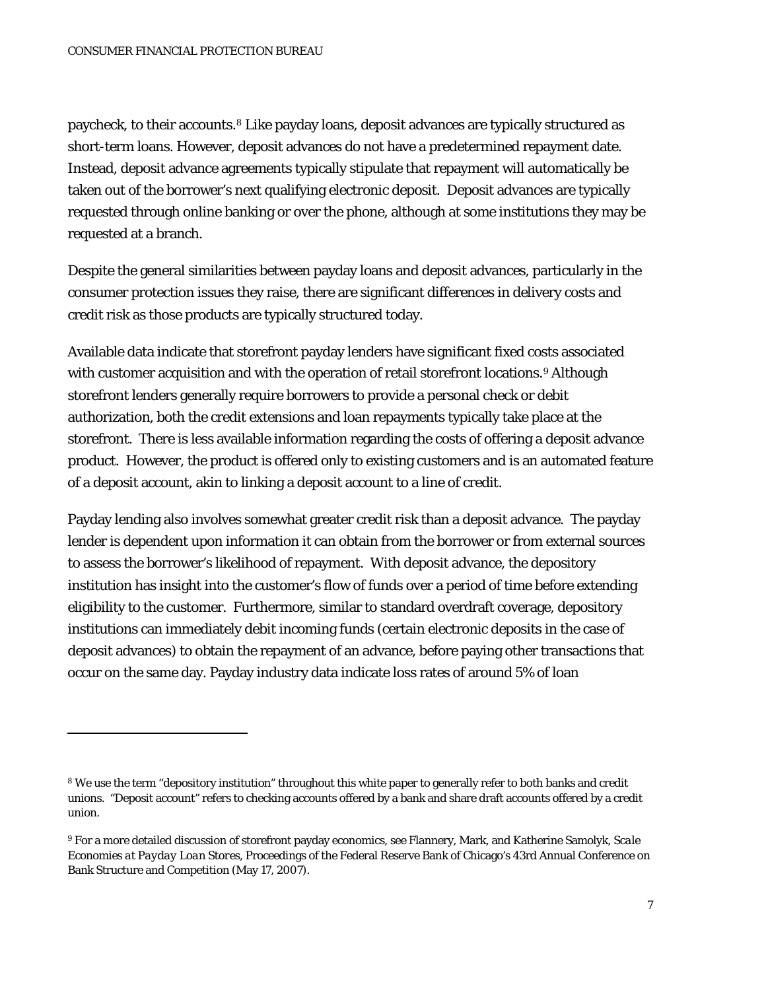paycheck, to their accounts.[8](#page-5-2) Like payday loans, deposit advances are typically structured as short-term loans. However, deposit advances do not have a predetermined repayment date. Instead, deposit advance agreements typically stipulate that repayment will automatically be taken out of the borrower's next qualifying electronic deposit. Deposit advances are typically requested through online banking or over the phone, although at some institutions they may be requested at a branch.

Despite the general similarities between payday loans and deposit advances, particularly in the consumer protection issues they raise, there are significant differences in delivery costs and credit risk as those products are typically structured today.

Available data indicate that storefront payday lenders have significant fixed costs associated with customer acquisition and with the operation of retail storefront locations.<sup>[9](#page-6-0)</sup> Although storefront lenders generally require borrowers to provide a personal check or debit authorization, both the credit extensions and loan repayments typically take place at the storefront. There is less available information regarding the costs of offering a deposit advance product. However, the product is offered only to existing customers and is an automated feature of a deposit account, akin to linking a deposit account to a line of credit.

Payday lending also involves somewhat greater credit risk than a deposit advance. The payday lender is dependent upon information it can obtain from the borrower or from external sources to assess the borrower's likelihood of repayment. With deposit advance, the depository institution has insight into the customer's flow of funds over a period of time before extending eligibility to the customer. Furthermore, similar to standard overdraft coverage, depository institutions can immediately debit incoming funds (certain electronic deposits in the case of deposit advances) to obtain the repayment of an advance, before paying other transactions that occur on the same day. Payday industry data indicate loss rates of around 5% of loan

<sup>8</sup> We use the term "depository institution" throughout this white paper to generally refer to both banks and credit unions. "Deposit account" refers to checking accounts offered by a bank and share draft accounts offered by a credit union.

<span id="page-6-0"></span><sup>9</sup> For a more detailed discussion of storefront payday economics, see Flannery, Mark, and Katherine Samolyk, *Scale Economies at Payday Loan Stores*, Proceedings of the Federal Reserve Bank of Chicago's 43rd Annual Conference on Bank Structure and Competition (May 17, 2007).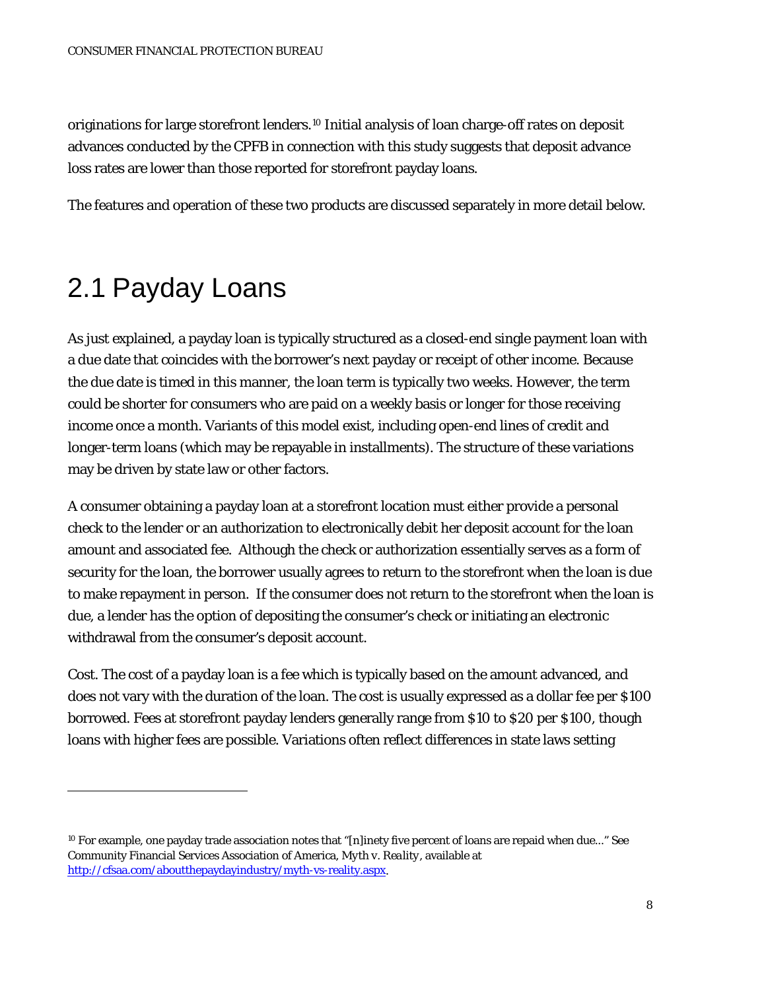originations for large storefront lenders.[10](#page-6-0) Initial analysis of loan charge-off rates on deposit advances conducted by the CPFB in connection with this study suggests that deposit advance loss rates are lower than those reported for storefront payday loans.

The features and operation of these two products are discussed separately in more detail below.

## 2.1 Payday Loans

<span id="page-7-0"></span> $\overline{a}$ 

As just explained, a payday loan is typically structured as a closed-end single payment loan with a due date that coincides with the borrower's next payday or receipt of other income. Because the due date is timed in this manner, the loan term is typically two weeks. However, the term could be shorter for consumers who are paid on a weekly basis or longer for those receiving income once a month. Variants of this model exist, including open-end lines of credit and longer-term loans (which may be repayable in installments). The structure of these variations may be driven by state law or other factors.

A consumer obtaining a payday loan at a storefront location must either provide a personal check to the lender or an authorization to electronically debit her deposit account for the loan amount and associated fee. Although the check or authorization essentially serves as a form of security for the loan, the borrower usually agrees to return to the storefront when the loan is due to make repayment in person. If the consumer does not return to the storefront when the loan is due, a lender has the option of depositing the consumer's check or initiating an electronic withdrawal from the consumer's deposit account.

*Cost.* The cost of a payday loan is a fee which is typically based on the amount advanced, and does not vary with the duration of the loan. The cost is usually expressed as a dollar fee per \$100 borrowed. Fees at storefront payday lenders generally range from \$10 to \$20 per \$100, though loans with higher fees are possible. Variations often reflect differences in state laws setting

<sup>10</sup> For example, one payday trade association notes that "[n]inety five percent of loans are repaid when due..." See Community Financial Services Association of America, *Myth v. Reality*, available at [http://cfsaa.com/aboutthepaydayindustry/myth-vs-reality.aspx.](http://cfsaa.com/aboutthepaydayindustry/myth-vs-reality.aspx)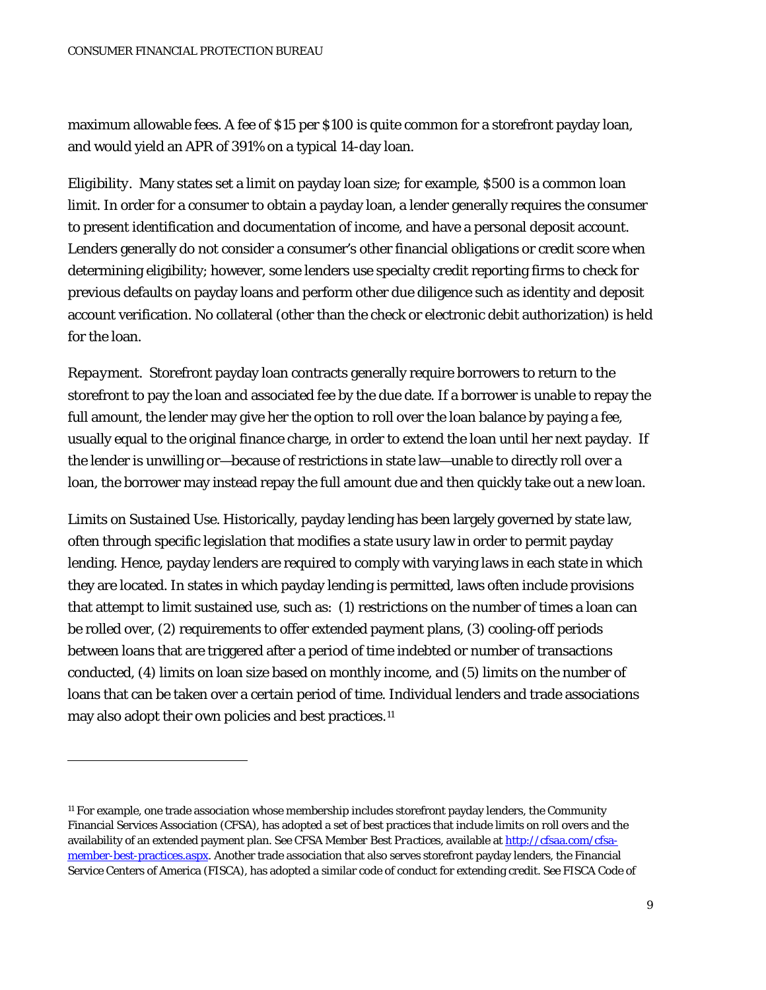maximum allowable fees. A fee of \$15 per \$100 is quite common for a storefront payday loan, and would yield an APR of 391% on a typical 14-day loan.

*Eligibility.* Many states set a limit on payday loan size; for example, \$500 is a common loan limit. In order for a consumer to obtain a payday loan, a lender generally requires the consumer to present identification and documentation of income, and have a personal deposit account. Lenders generally do not consider a consumer's other financial obligations or credit score when determining eligibility; however, some lenders use specialty credit reporting firms to check for previous defaults on payday loans and perform other due diligence such as identity and deposit account verification. No collateral (other than the check or electronic debit authorization) is held for the loan.

*Repayment.* Storefront payday loan contracts generally require borrowers to return to the storefront to pay the loan and associated fee by the due date. If a borrower is unable to repay the full amount, the lender may give her the option to roll over the loan balance by paying a fee, usually equal to the original finance charge, in order to extend the loan until her next payday. If the lender is unwilling or—because of restrictions in state law—unable to directly roll over a loan, the borrower may instead repay the full amount due and then quickly take out a new loan.

*Limits on Sustained Use.* Historically, payday lending has been largely governed by state law, often through specific legislation that modifies a state usury law in order to permit payday lending. Hence, payday lenders are required to comply with varying laws in each state in which they are located. In states in which payday lending is permitted, laws often include provisions that attempt to limit sustained use, such as: (1) restrictions on the number of times a loan can be rolled over, (2) requirements to offer extended payment plans, (3) cooling-off periods between loans that are triggered after a period of time indebted or number of transactions conducted, (4) limits on loan size based on monthly income, and (5) limits on the number of loans that can be taken over a certain period of time. Individual lenders and trade associations may also adopt their own policies and best practices.<sup>[11](#page-7-0)</sup>

<span id="page-8-0"></span><sup>&</sup>lt;sup>11</sup> For example, one trade association whose membership includes storefront payday lenders, the Community Financial Services Association (CFSA), has adopted a set of best practices that include limits on roll overs and the availability of an extended payment plan. See *CFSA Member Best Practices*, available at [http://cfsaa.com/cfsa](http://cfsaa.com/cfsa-member-best-practices.aspx)[member-best-practices.aspx.](http://cfsaa.com/cfsa-member-best-practices.aspx) Another trade association that also serves storefront payday lenders, the Financial Service Centers of America (FISCA), has adopted a similar code of conduct for extending credit. See *FISCA Code of*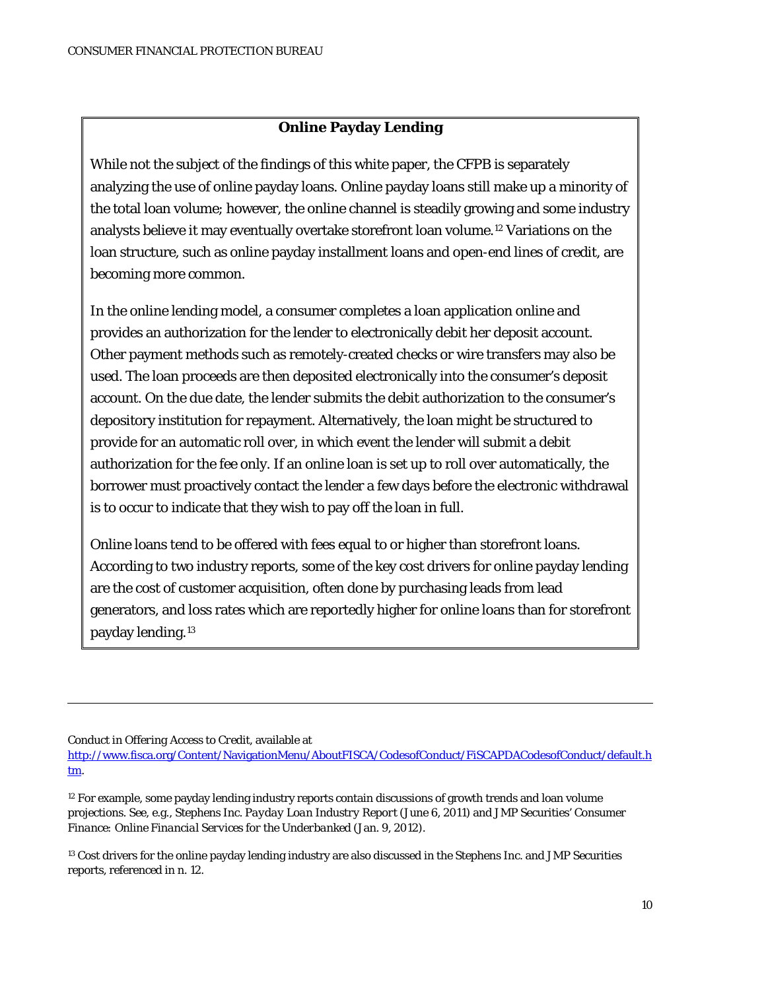#### **Online Payday Lending**

While not the subject of the findings of this white paper, the CFPB is separately analyzing the use of online payday loans. Online payday loans still make up a minority of the total loan volume; however, the online channel is steadily growing and some industry analysts believe it may eventually overtake storefront loan volume.[12](#page-8-0) Variations on the loan structure, such as online payday installment loans and open-end lines of credit, are becoming more common.

In the online lending model, a consumer completes a loan application online and provides an authorization for the lender to electronically debit her deposit account. Other payment methods such as remotely-created checks or wire transfers may also be used. The loan proceeds are then deposited electronically into the consumer's deposit account. On the due date, the lender submits the debit authorization to the consumer's depository institution for repayment. Alternatively, the loan might be structured to provide for an automatic roll over, in which event the lender will submit a debit authorization for the fee only. If an online loan is set up to roll over automatically, the borrower must proactively contact the lender a few days before the electronic withdrawal is to occur to indicate that they wish to pay off the loan in full.

Online loans tend to be offered with fees equal to or higher than storefront loans. According to two industry reports, some of the key cost drivers for online payday lending are the cost of customer acquisition, often done by purchasing leads from lead generators, and loss rates which are reportedly higher for online loans than for storefront payday lending.[13](#page-9-0)

*Conduct in Offering Access to Credit*, available at

 $\overline{a}$ 

<sup>12</sup> For example, some payday lending industry reports contain discussions of growth trends and loan volume projections. See, e.g., Stephens Inc. *Payday Loan Industry Report* (June 6, 2011) and JMP Securities' *Consumer Finance: Online Financial Services for the Underbanked* (Jan. 9, 2012).

<span id="page-9-0"></span><sup>13</sup> Cost drivers for the online payday lending industry are also discussed in the Stephens Inc. and JMP Securities reports, referenced in n. 12.

<span id="page-9-1"></span>[http://www.fisca.org/Content/NavigationMenu/AboutFISCA/CodesofConduct/FiSCAPDACodesofConduct/default.h](http://www.fisca.org/Content/NavigationMenu/AboutFISCA/CodesofConduct/FiSCAPDACodesofConduct/default.htm) [tm.](http://www.fisca.org/Content/NavigationMenu/AboutFISCA/CodesofConduct/FiSCAPDACodesofConduct/default.htm)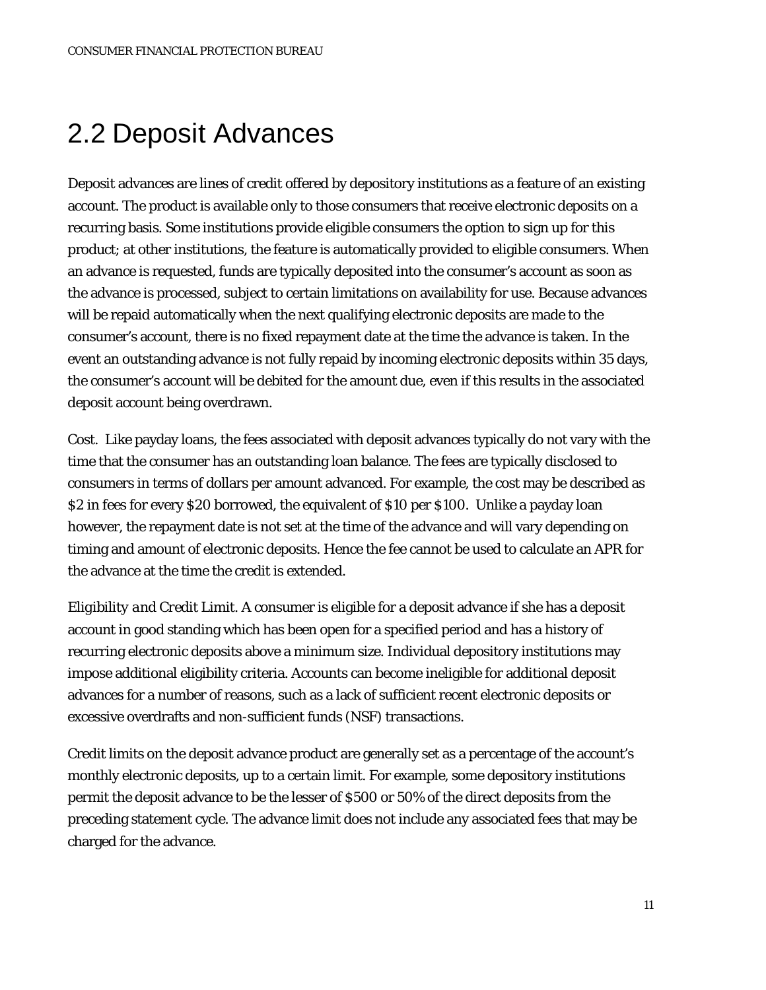## 2.2 Deposit Advances

Deposit advances are lines of credit offered by depository institutions as a feature of an existing account. The product is available only to those consumers that receive electronic deposits on a recurring basis. Some institutions provide eligible consumers the option to sign up for this product; at other institutions, the feature is automatically provided to eligible consumers. When an advance is requested, funds are typically deposited into the consumer's account as soon as the advance is processed, subject to certain limitations on availability for use. Because advances will be repaid automatically when the next qualifying electronic deposits are made to the consumer's account, there is no fixed repayment date at the time the advance is taken. In the event an outstanding advance is not fully repaid by incoming electronic deposits within 35 days, the consumer's account will be debited for the amount due, even if this results in the associated deposit account being overdrawn.

*Cost*. Like payday loans, the fees associated with deposit advances typically do not vary with the time that the consumer has an outstanding loan balance. The fees are typically disclosed to consumers in terms of dollars per amount advanced. For example, the cost may be described as \$2 in fees for every \$20 borrowed, the equivalent of \$10 per \$100. Unlike a payday loan however, the repayment date is not set at the time of the advance and will vary depending on timing and amount of electronic deposits. Hence the fee cannot be used to calculate an APR for the advance at the time the credit is extended.

*Eligibility and Credit Limit.* A consumer is eligible for a deposit advance if she has a deposit account in good standing which has been open for a specified period and has a history of recurring electronic deposits above a minimum size. Individual depository institutions may impose additional eligibility criteria. Accounts can become ineligible for additional deposit advances for a number of reasons, such as a lack of sufficient recent electronic deposits or excessive overdrafts and non-sufficient funds (NSF) transactions.

Credit limits on the deposit advance product are generally set as a percentage of the account's monthly electronic deposits, up to a certain limit. For example, some depository institutions permit the deposit advance to be the lesser of \$500 or 50% of the direct deposits from the preceding statement cycle. The advance limit does not include any associated fees that may be charged for the advance.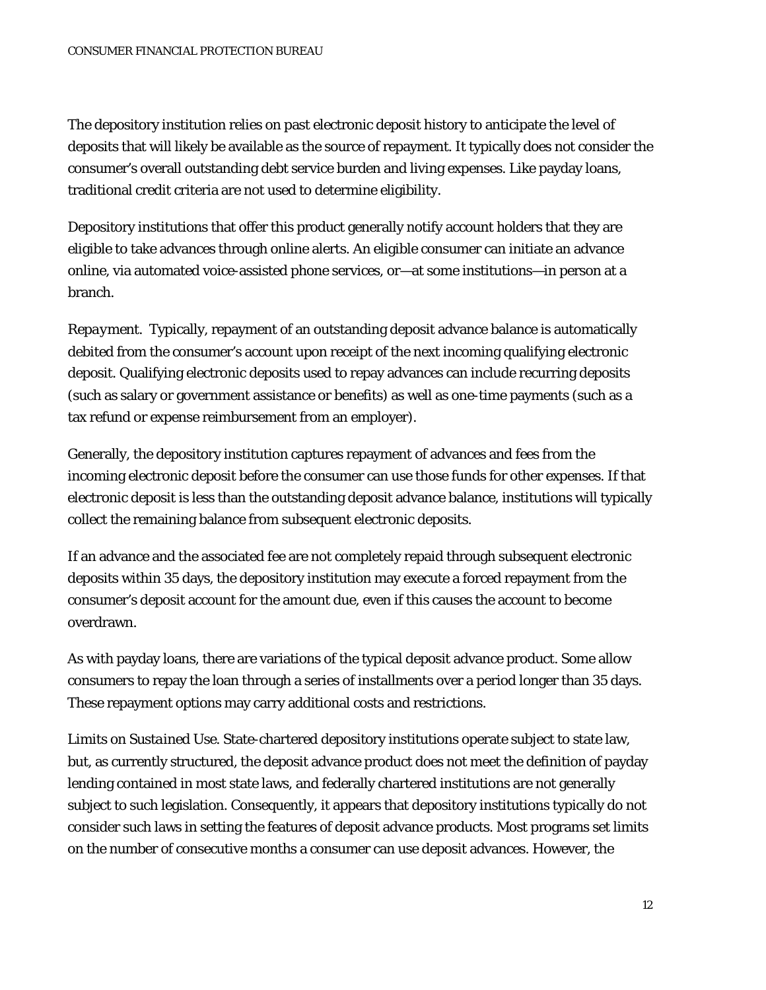The depository institution relies on past electronic deposit history to anticipate the level of deposits that will likely be available as the source of repayment. It typically does not consider the consumer's overall outstanding debt service burden and living expenses. Like payday loans, traditional credit criteria are not used to determine eligibility.

Depository institutions that offer this product generally notify account holders that they are eligible to take advances through online alerts. An eligible consumer can initiate an advance online, via automated voice-assisted phone services, or—at some institutions—in person at a branch.

*Repayment.* Typically, repayment of an outstanding deposit advance balance is automatically debited from the consumer's account upon receipt of the next incoming qualifying electronic deposit. Qualifying electronic deposits used to repay advances can include recurring deposits (such as salary or government assistance or benefits) as well as one-time payments (such as a tax refund or expense reimbursement from an employer).

Generally, the depository institution captures repayment of advances and fees from the incoming electronic deposit before the consumer can use those funds for other expenses. If that electronic deposit is less than the outstanding deposit advance balance, institutions will typically collect the remaining balance from subsequent electronic deposits.

If an advance and the associated fee are not completely repaid through subsequent electronic deposits within 35 days, the depository institution may execute a forced repayment from the consumer's deposit account for the amount due, even if this causes the account to become overdrawn.

As with payday loans, there are variations of the typical deposit advance product. Some allow consumers to repay the loan through a series of installments over a period longer than 35 days. These repayment options may carry additional costs and restrictions.

*Limits on Sustained Use*. State-chartered depository institutions operate subject to state law, but, as currently structured, the deposit advance product does not meet the definition of payday lending contained in most state laws, and federally chartered institutions are not generally subject to such legislation. Consequently, it appears that depository institutions typically do not consider such laws in setting the features of deposit advance products. Most programs set limits on the number of consecutive months a consumer can use deposit advances. However, the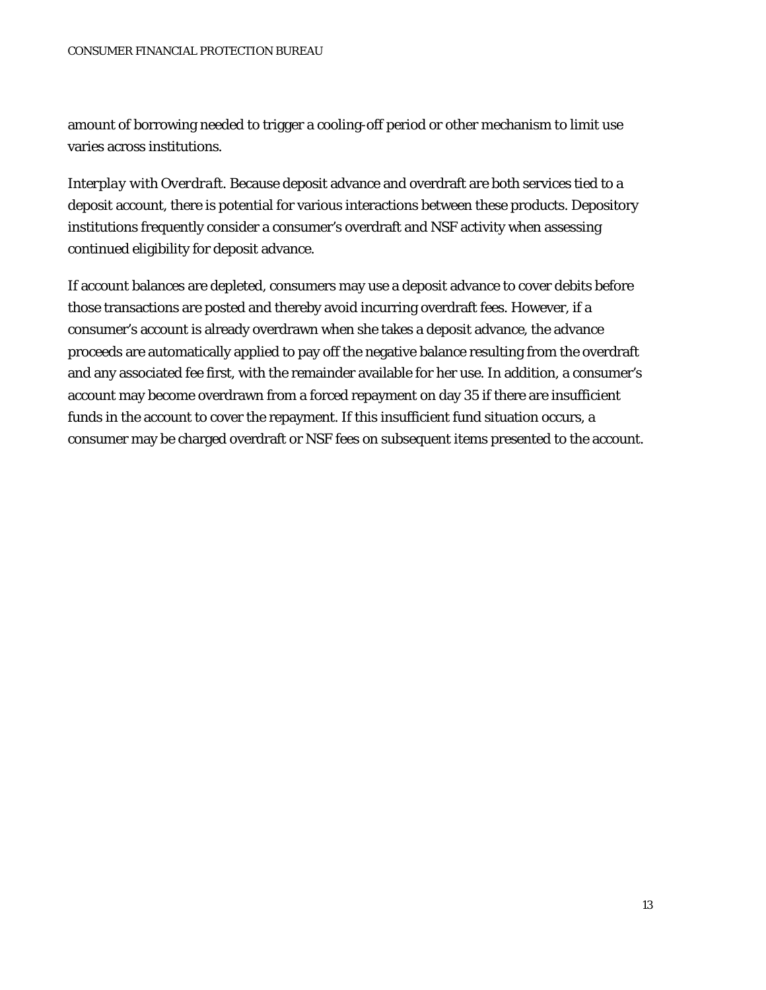amount of borrowing needed to trigger a cooling-off period or other mechanism to limit use varies across institutions.

*Interplay with Overdraft.* Because deposit advance and overdraft are both services tied to a deposit account, there is potential for various interactions between these products. Depository institutions frequently consider a consumer's overdraft and NSF activity when assessing continued eligibility for deposit advance.

If account balances are depleted, consumers may use a deposit advance to cover debits before those transactions are posted and thereby avoid incurring overdraft fees. However, if a consumer's account is already overdrawn when she takes a deposit advance, the advance proceeds are automatically applied to pay off the negative balance resulting from the overdraft and any associated fee first, with the remainder available for her use. In addition, a consumer's account may become overdrawn from a forced repayment on day 35 if there are insufficient funds in the account to cover the repayment. If this insufficient fund situation occurs, a consumer may be charged overdraft or NSF fees on subsequent items presented to the account.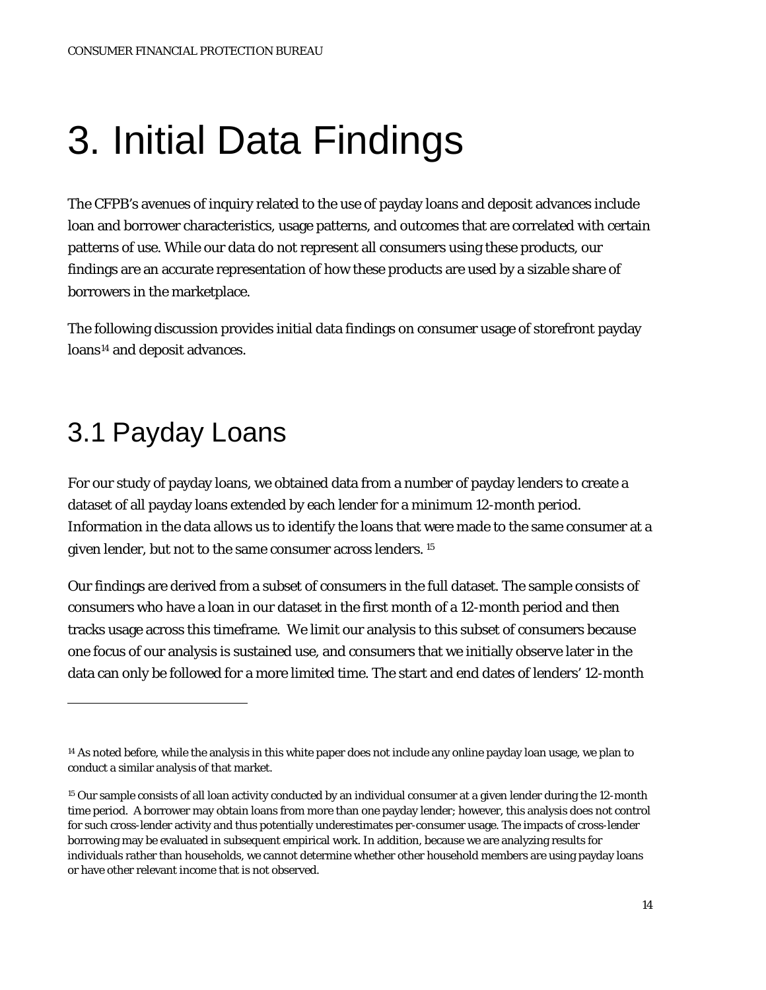# 3. Initial Data Findings

The CFPB's avenues of inquiry related to the use of payday loans and deposit advances include loan and borrower characteristics, usage patterns, and outcomes that are correlated with certain patterns of use. While our data do not represent all consumers using these products, our findings are an accurate representation of how these products are used by a sizable share of borrowers in the marketplace.

The following discussion provides initial data findings on consumer usage of storefront payday loans<sup>[14](#page-9-1)</sup> and deposit advances.

### 3.1 Payday Loans

<span id="page-13-1"></span> $\overline{a}$ 

For our study of payday loans, we obtained data from a number of payday lenders to create a dataset of all payday loans extended by each lender for a minimum 12-month period. Information in the data allows us to identify the loans that were made to the same consumer at a given lender, but not to the same consumer across lenders. [15](#page-13-0)

Our findings are derived from a subset of consumers in the full dataset. The sample consists of consumers who have a loan in our dataset in the first month of a 12-month period and then tracks usage across this timeframe. We limit our analysis to this subset of consumers because one focus of our analysis is sustained use, and consumers that we initially observe later in the data can only be followed for a more limited time. The start and end dates of lenders' 12-month

<sup>&</sup>lt;sup>14</sup> As noted before, while the analysis in this white paper does not include any online payday loan usage, we plan to conduct a similar analysis of that market.

<span id="page-13-0"></span><sup>&</sup>lt;sup>15</sup> Our sample consists of all loan activity conducted by an individual consumer at a given lender during the 12-month time period. A borrower may obtain loans from more than one payday lender; however, this analysis does not control for such cross-lender activity and thus potentially underestimates per-consumer usage. The impacts of cross-lender borrowing may be evaluated in subsequent empirical work. In addition, because we are analyzing results for individuals rather than households, we cannot determine whether other household members are using payday loans or have other relevant income that is not observed.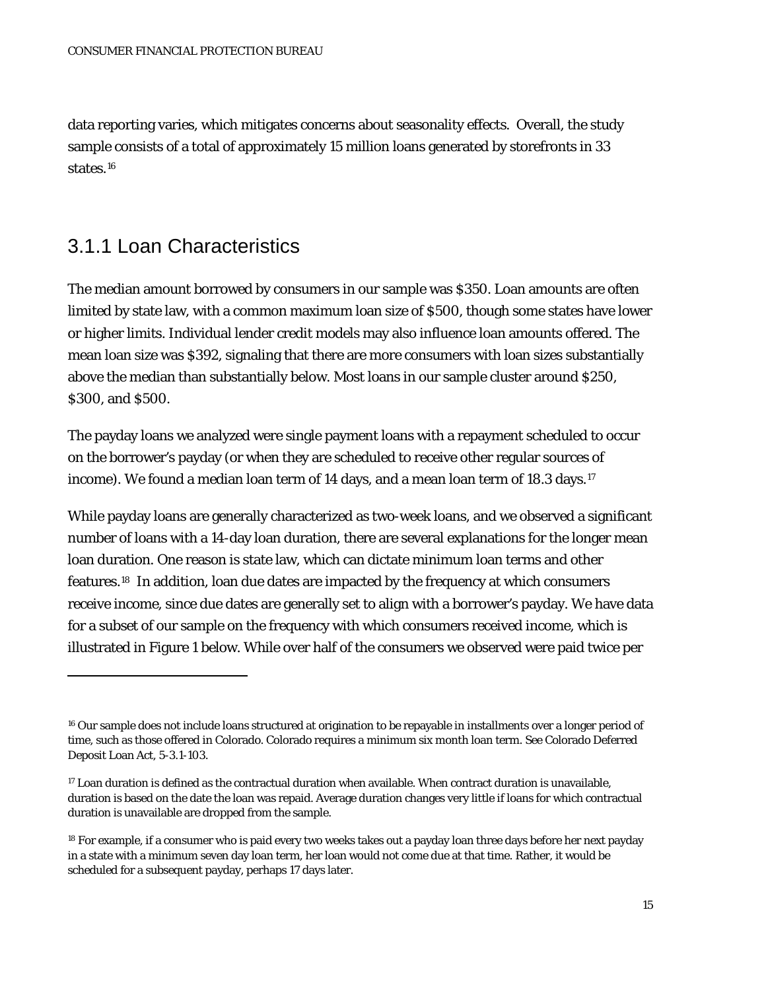data reporting varies, which mitigates concerns about seasonality effects. Overall, the study sample consists of a total of approximately 15 million loans generated by storefronts in 33 states[.16](#page-13-1)

#### 3.1.1 Loan Characteristics

 $\overline{a}$ 

The median amount borrowed by consumers in our sample was \$350. Loan amounts are often limited by state law, with a common maximum loan size of \$500, though some states have lower or higher limits. Individual lender credit models may also influence loan amounts offered. The mean loan size was \$392, signaling that there are more consumers with loan sizes substantially above the median than substantially below. Most loans in our sample cluster around \$250, \$300, and \$500.

The payday loans we analyzed were single payment loans with a repayment scheduled to occur on the borrower's payday (or when they are scheduled to receive other regular sources of income). We found a median loan term of 14 days, and a mean loan term of 18.3 days.<sup>[17](#page-14-0)</sup>

While payday loans are generally characterized as two-week loans, and we observed a significant number of loans with a 14-day loan duration, there are several explanations for the longer mean loan duration. One reason is state law, which can dictate minimum loan terms and other features.[18](#page-14-1) In addition, loan due dates are impacted by the frequency at which consumers receive income, since due dates are generally set to align with a borrower's payday. We have data for a subset of our sample on the frequency with which consumers received income, which is illustrated in Figure 1 below. While over half of the consumers we observed were paid twice per

<sup>&</sup>lt;sup>16</sup> Our sample does not include loans structured at origination to be repayable in installments over a longer period of time, such as those offered in Colorado. Colorado requires a minimum six month loan term. See Colorado Deferred Deposit Loan Act, 5-3.1-103.

<span id="page-14-0"></span><sup>17</sup> Loan duration is defined as the contractual duration when available. When contract duration is unavailable, duration is based on the date the loan was repaid. Average duration changes very little if loans for which contractual duration is unavailable are dropped from the sample.

<span id="page-14-1"></span><sup>18</sup> For example, if a consumer who is paid every two weeks takes out a payday loan three days before her next payday in a state with a minimum seven day loan term, her loan would not come due at that time. Rather, it would be scheduled for a subsequent payday, perhaps 17 days later.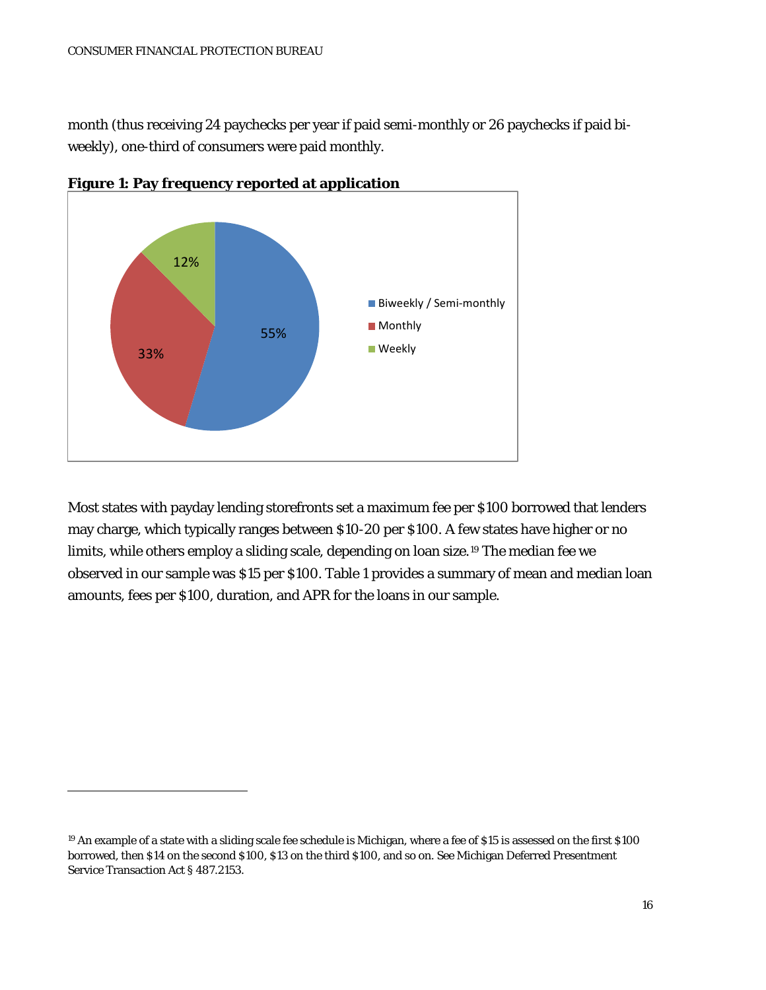month (thus receiving 24 paychecks per year if paid semi-monthly or 26 paychecks if paid biweekly), one-third of consumers were paid monthly.



**Figure 1: Pay frequency reported at application**

Most states with payday lending storefronts set a maximum fee per \$100 borrowed that lenders may charge, which typically ranges between \$10-20 per \$100. A few states have higher or no limits, while others employ a sliding scale, depending on loan size.[19](#page-14-1) The median fee we observed in our sample was \$15 per \$100. Table 1 provides a summary of mean and median loan amounts, fees per \$100, duration, and APR for the loans in our sample.

<span id="page-15-0"></span><sup>&</sup>lt;sup>19</sup> An example of a state with a sliding scale fee schedule is Michigan, where a fee of \$15 is assessed on the first \$100 borrowed, then \$14 on the second \$100, \$13 on the third \$100, and so on. See Michigan Deferred Presentment Service Transaction Act § 487.2153.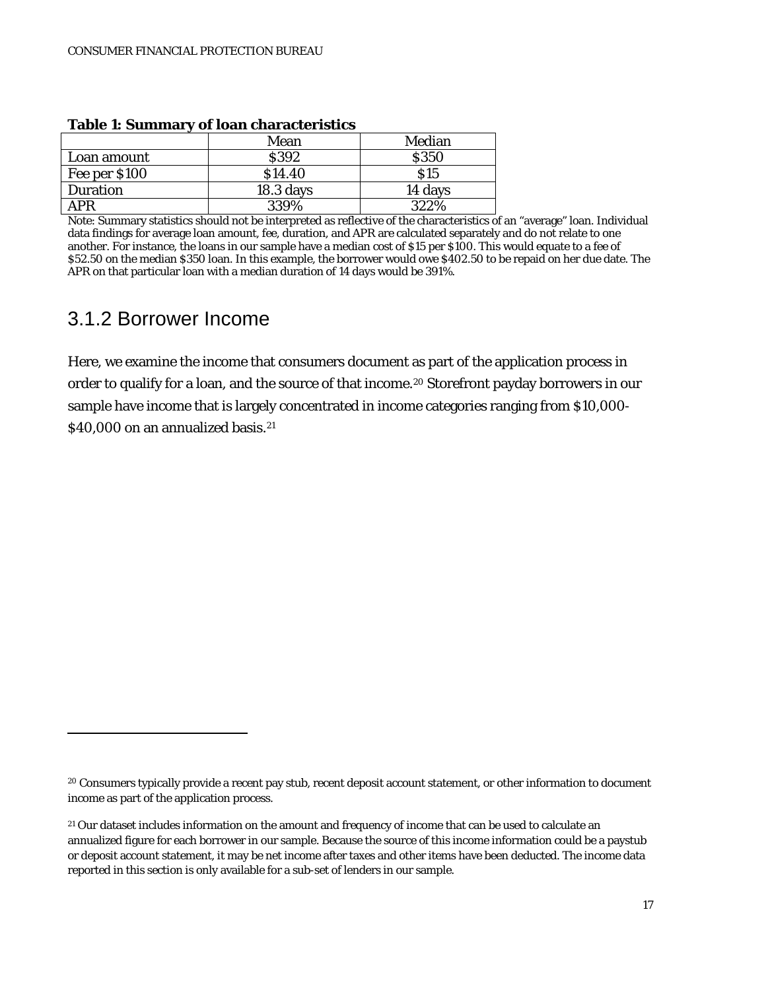| TUDIC TI DUMINIUM Y<br>vi ivuli viiui uvlei iveled |             |            |  |  |  |  |
|----------------------------------------------------|-------------|------------|--|--|--|--|
|                                                    | Mean        | Median     |  |  |  |  |
| Loan amount                                        | <b>S392</b> | \$350      |  |  |  |  |
| Fee per \$100                                      | \$14.40     | <b>S15</b> |  |  |  |  |
| Duration                                           | $18.3$ days | 14 days    |  |  |  |  |
| APR                                                | 339%        | 322%       |  |  |  |  |

#### **Table 1: Summary of loan characteristics**

Note: Summary statistics should not be interpreted as reflective of the characteristics of an "average" loan. Individual data findings for average loan amount, fee, duration, and APR are calculated separately and do not relate to one another. For instance, the loans in our sample have a median cost of \$15 per \$100. This would equate to a fee of \$52.50 on the median \$350 loan. In this example, the borrower would owe \$402.50 to be repaid on her due date. The APR on that particular loan with a median duration of 14 days would be 391%.

#### 3.1.2 Borrower Income

 $\overline{a}$ 

Here, we examine the income that consumers document as part of the application process in order to qualify for a loan, and the source of that income.<sup>[20](#page-15-0)</sup> Storefront payday borrowers in our sample have income that is largely concentrated in income categories ranging from \$10,000- \$40,000 on an annualized basis.<sup>[21](#page-16-0)</sup>

<span id="page-16-1"></span><sup>&</sup>lt;sup>20</sup> Consumers typically provide a recent pay stub, recent deposit account statement, or other information to document income as part of the application process.

<span id="page-16-0"></span><sup>&</sup>lt;sup>21</sup> Our dataset includes information on the amount and frequency of income that can be used to calculate an annualized figure for each borrower in our sample. Because the source of this income information could be a paystub or deposit account statement, it may be net income after taxes and other items have been deducted. The income data reported in this section is only available for a sub-set of lenders in our sample.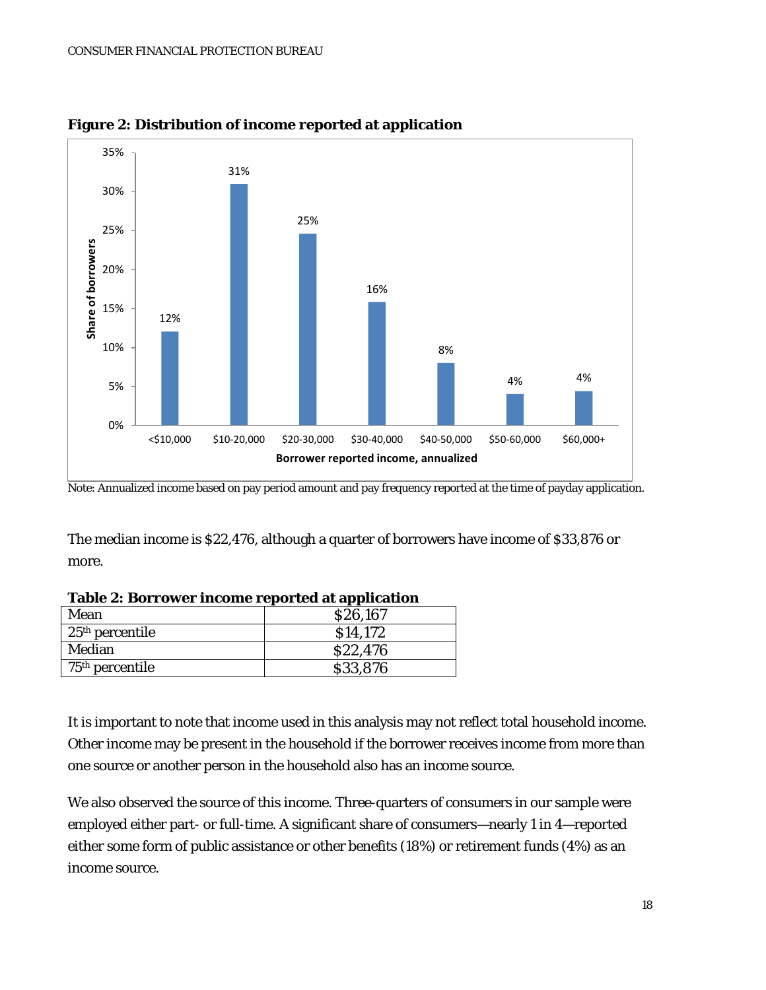

**Figure 2: Distribution of income reported at application**

Note: Annualized income based on pay period amount and pay frequency reported at the time of payday application.

The median income is \$22,476, although a quarter of borrowers have income of \$33,876 or more.

| Tuble &: Dollowel meome reported at application |          |  |  |  |
|-------------------------------------------------|----------|--|--|--|
| Mean                                            | \$26,167 |  |  |  |
| $25th$ percentile                               | \$14,172 |  |  |  |
| Median                                          | \$22,476 |  |  |  |
| $75th$ percentile                               | \$33,876 |  |  |  |

It is important to note that income used in this analysis may not reflect total household income. Other income may be present in the household if the borrower receives income from more than one source or another person in the household also has an income source.

We also observed the source of this income. Three-quarters of consumers in our sample were employed either part- or full-time. A significant share of consumers—nearly 1 in 4—reported either some form of public assistance or other benefits (18%) or retirement funds (4%) as an income source.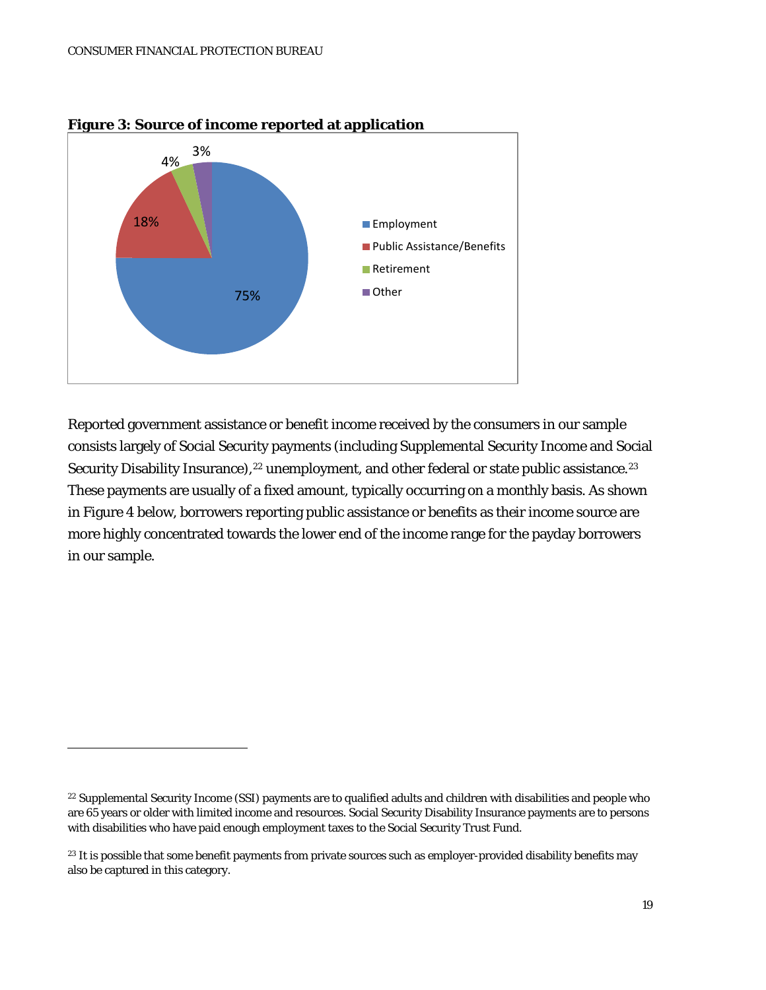

**Figure 3: Source of income reported at application**

Reported government assistance or benefit income received by the consumers in our sample consists largely of Social Security payments (including Supplemental Security Income and Social Security Disability Insurance),<sup>[22](#page-16-1)</sup> unemployment, and other federal or state public assistance.<sup>23</sup> These payments are usually of a fixed amount, typically occurring on a monthly basis. As shown in Figure 4 below, borrowers reporting public assistance or benefits as their income source are more highly concentrated towards the lower end of the income range for the payday borrowers in our sample.

<span id="page-18-1"></span><sup>&</sup>lt;sup>22</sup> Supplemental Security Income (SSI) payments are to qualified adults and children with disabilities and people who are 65 years or older with limited income and resources. Social Security Disability Insurance payments are to persons with disabilities who have paid enough employment taxes to the Social Security Trust Fund.

<span id="page-18-0"></span><sup>&</sup>lt;sup>23</sup> It is possible that some benefit payments from private sources such as employer-provided disability benefits may also be captured in this category.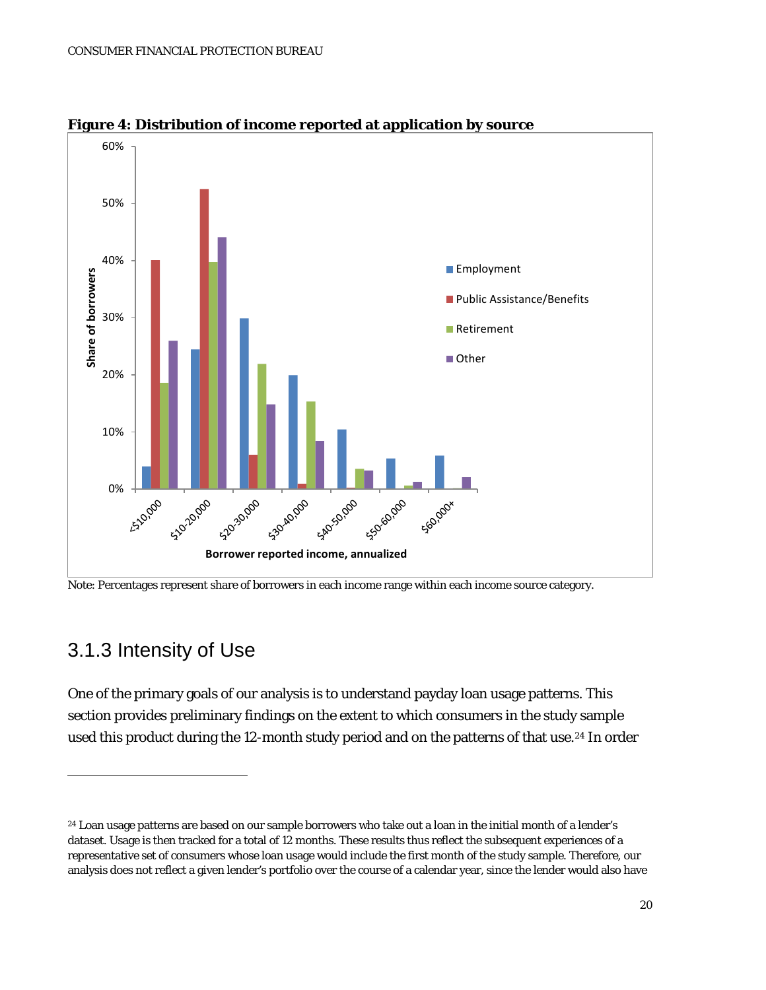

**Figure 4: Distribution of income reported at application by source**

#### 3.1.3 Intensity of Use

 $\overline{a}$ 

One of the primary goals of our analysis is to understand payday loan usage patterns. This section provides preliminary findings on the extent to which consumers in the study sample used this product during the 12-month study period and on the patterns of that use.<sup>24</sup> In order

Note: Percentages represent share of borrowers in each income range within each income source category.

<span id="page-19-0"></span><sup>&</sup>lt;sup>24</sup> Loan usage patterns are based on our sample borrowers who take out a loan in the initial month of a lender's dataset. Usage is then tracked for a total of 12 months. These results thus reflect the subsequent experiences of a representative set of consumers whose loan usage would include the first month of the study sample. Therefore, our analysis does not reflect a given lender's portfolio over the course of a calendar year, since the lender would also have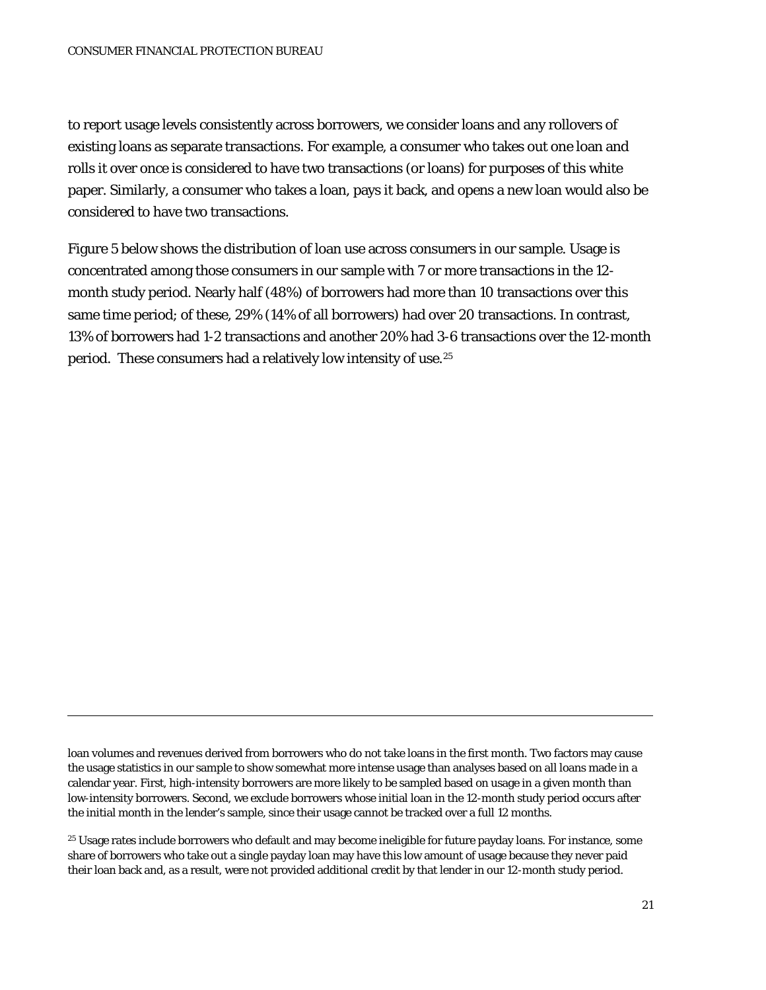to report usage levels consistently across borrowers, we consider loans and any rollovers of existing loans as separate transactions. For example, a consumer who takes out one loan and rolls it over once is considered to have two transactions (or loans) for purposes of this white paper. Similarly, a consumer who takes a loan, pays it back, and opens a new loan would also be considered to have two transactions.

Figure 5 below shows the distribution of loan use across consumers in our sample. Usage is concentrated among those consumers in our sample with 7 or more transactions in the 12 month study period. Nearly half (48%) of borrowers had more than 10 transactions over this same time period; of these, 29% (14% of all borrowers) had over 20 transactions. In contrast, 13% of borrowers had 1-2 transactions and another 20% had 3-6 transactions over the 12-month period. These consumers had a relatively low intensity of use.[25](#page-19-0) 

<span id="page-20-0"></span>loan volumes and revenues derived from borrowers who do not take loans in the first month. Two factors may cause the usage statistics in our sample to show somewhat more intense usage than analyses based on all loans made in a calendar year. First, high-intensity borrowers are more likely to be sampled based on usage in a given month than low-intensity borrowers. Second, we exclude borrowers whose initial loan in the 12-month study period occurs after the initial month in the lender's sample, since their usage cannot be tracked over a full 12 months.

<sup>&</sup>lt;sup>25</sup> Usage rates include borrowers who default and may become ineligible for future payday loans. For instance, some share of borrowers who take out a single payday loan may have this low amount of usage because they never paid their loan back and, as a result, were not provided additional credit by that lender in our 12-month study period.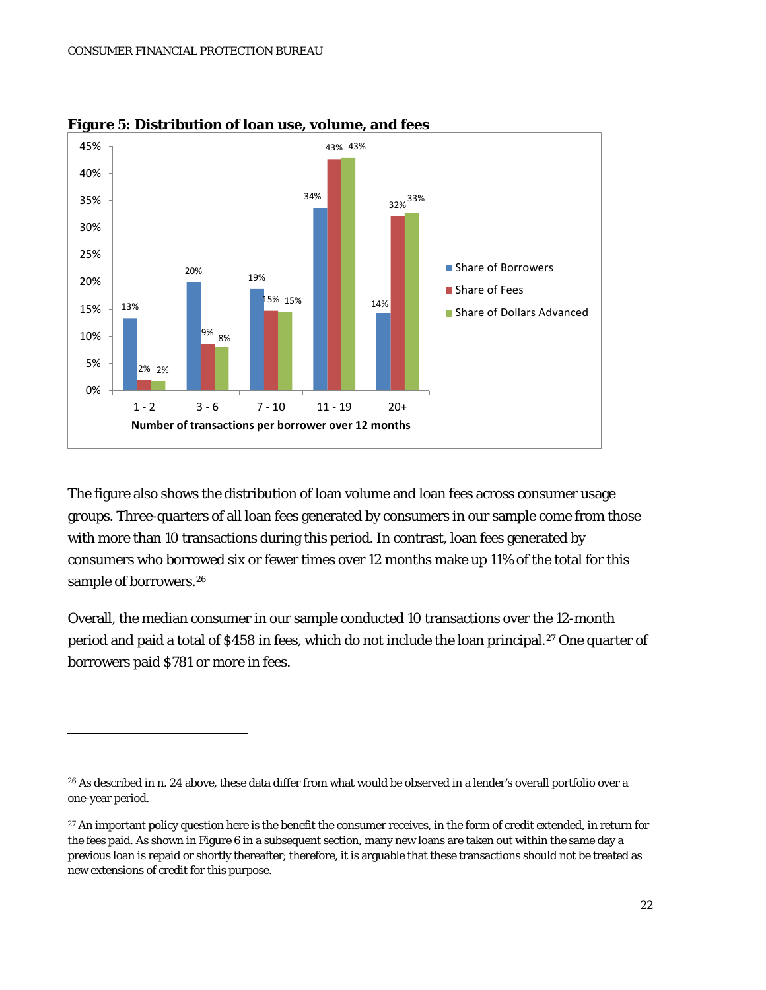

**Figure 5: Distribution of loan use, volume, and fees**

The figure also shows the distribution of loan volume and loan fees across consumer usage groups. Three-quarters of all loan fees generated by consumers in our sample come from those with more than 10 transactions during this period. In contrast, loan fees generated by consumers who borrowed six or fewer times over 12 months make up 11% of the total for this sample of borrowers.<sup>[26](#page-20-0)</sup>

Overall, the median consumer in our sample conducted 10 transactions over the 12-month period and paid a total of \$458 in fees, which do not include the loan principal.<sup>[27](#page-21-0)</sup> One quarter of borrowers paid \$781 or more in fees.

<sup>&</sup>lt;sup>26</sup> As described in n. 24 above, these data differ from what would be observed in a lender's overall portfolio over a one-year period.

<span id="page-21-1"></span><span id="page-21-0"></span><sup>&</sup>lt;sup>27</sup> An important policy question here is the benefit the consumer receives, in the form of credit extended, in return for the fees paid. As shown in Figure 6 in a subsequent section, many new loans are taken out within the same day a previous loan is repaid or shortly thereafter; therefore, it is arguable that these transactions should not be treated as new extensions of credit for this purpose.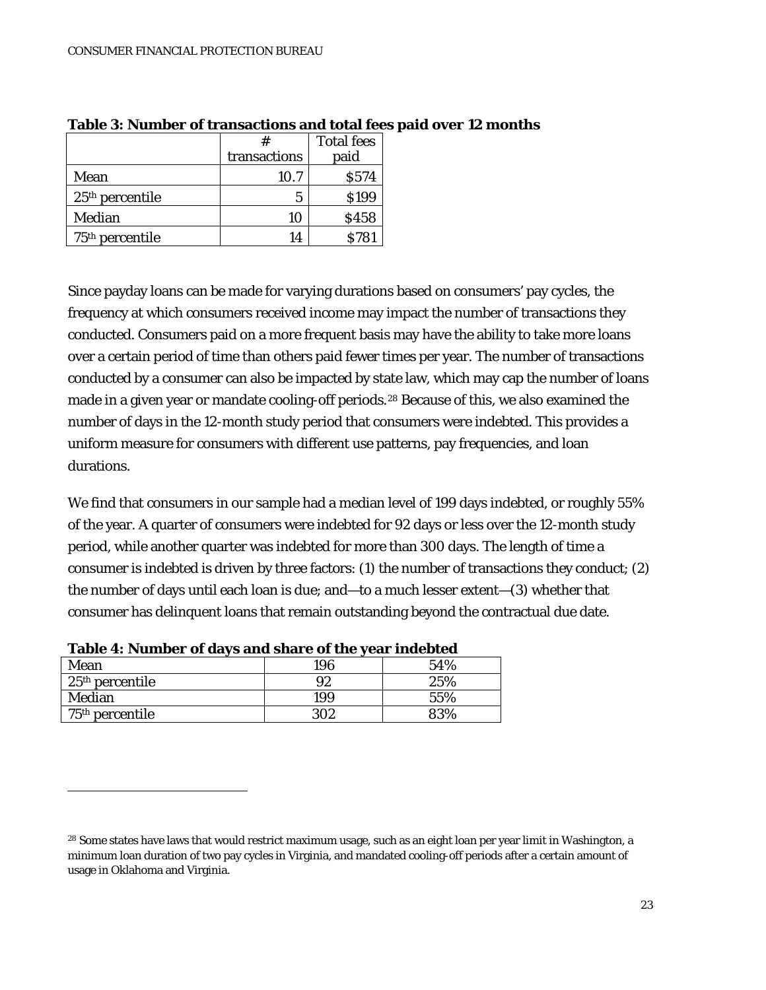|                   |              | <b>Total fees</b> |
|-------------------|--------------|-------------------|
|                   | transactions | paid              |
| Mean              | 10.7         | S574              |
| $25th$ percentile | 5            | \$199             |
| Median            | 10           | \$458             |
| $75th$ percentile | 14           | <b>S781</b>       |

**Table 3: Number of transactions and total fees paid over 12 months**

Since payday loans can be made for varying durations based on consumers' pay cycles, the frequency at which consumers received income may impact the number of transactions they conducted. Consumers paid on a more frequent basis may have the ability to take more loans over a certain period of time than others paid fewer times per year. The number of transactions conducted by a consumer can also be impacted by state law, which may cap the number of loans made in a given year or mandate cooling-off periods.<sup>[28](#page-21-1)</sup> Because of this, we also examined the number of days in the 12-month study period that consumers were indebted. This provides a uniform measure for consumers with different use patterns, pay frequencies, and loan durations.

We find that consumers in our sample had a median level of 199 days indebted, or roughly 55% of the year. A quarter of consumers were indebted for 92 days or less over the 12-month study period, while another quarter was indebted for more than 300 days. The length of time a consumer is indebted is driven by three factors: (1) the number of transactions they conduct; (2) the number of days until each loan is due; and—to a much lesser extent—(3) whether that consumer has delinquent loans that remain outstanding beyond the contractual due date.

| Table 4. Number of days and share of the year muebled |     |     |  |  |  |
|-------------------------------------------------------|-----|-----|--|--|--|
| Mean                                                  | 196 | 54% |  |  |  |
| $125th$ percentile                                    | 92  | 25% |  |  |  |
| Median                                                | 199 | 55% |  |  |  |
| $75th$ percentile                                     | 302 | 33% |  |  |  |

**Table 4: Number of days and share of the year indebted**

<span id="page-22-0"></span> $\overline{a}$ 

<sup>&</sup>lt;sup>28</sup> Some states have laws that would restrict maximum usage, such as an eight loan per year limit in Washington, a minimum loan duration of two pay cycles in Virginia, and mandated cooling-off periods after a certain amount of usage in Oklahoma and Virginia.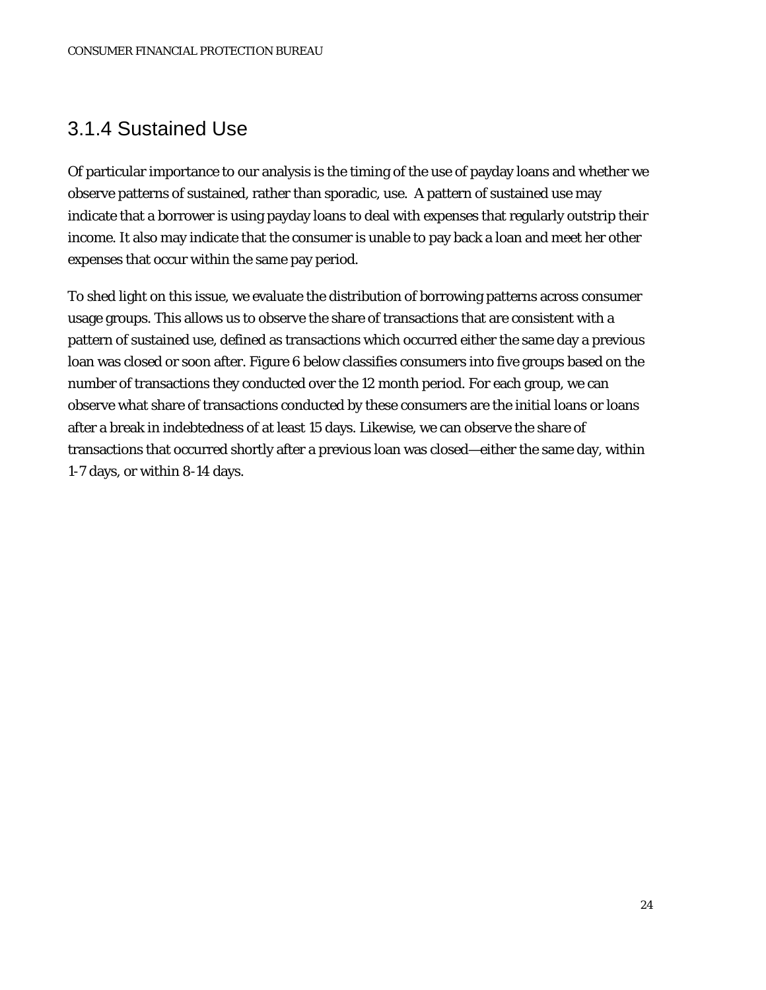### 3.1.4 Sustained Use

Of particular importance to our analysis is the timing of the use of payday loans and whether we observe patterns of sustained, rather than sporadic, use. A pattern of sustained use may indicate that a borrower is using payday loans to deal with expenses that regularly outstrip their income. It also may indicate that the consumer is unable to pay back a loan and meet her other expenses that occur within the same pay period.

To shed light on this issue, we evaluate the distribution of borrowing patterns across consumer usage groups. This allows us to observe the share of transactions that are consistent with a pattern of sustained use, defined as transactions which occurred either the same day a previous loan was closed or soon after. Figure 6 below classifies consumers into five groups based on the number of transactions they conducted over the 12 month period. For each group, we can observe what share of transactions conducted by these consumers are the initial loans or loans after a break in indebtedness of at least 15 days. Likewise, we can observe the share of transactions that occurred shortly after a previous loan was closed—either the same day, within 1-7 days, or within 8-14 days.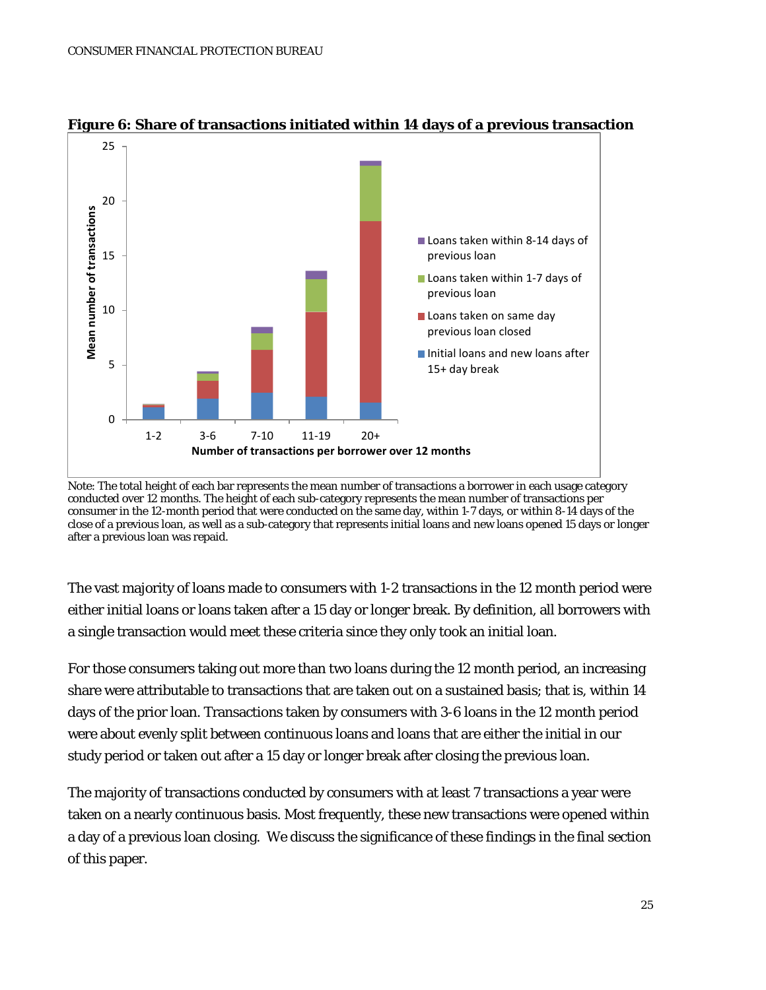

#### **Figure 6: Share of transactions initiated within 14 days of a previous transaction**

The vast majority of loans made to consumers with 1-2 transactions in the 12 month period were either initial loans or loans taken after a 15 day or longer break. By definition, all borrowers with a single transaction would meet these criteria since they only took an initial loan.

For those consumers taking out more than two loans during the 12 month period, an increasing share were attributable to transactions that are taken out on a sustained basis; that is, within 14 days of the prior loan. Transactions taken by consumers with 3-6 loans in the 12 month period were about evenly split between continuous loans and loans that are either the initial in our study period or taken out after a 15 day or longer break after closing the previous loan.

The majority of transactions conducted by consumers with at least 7 transactions a year were taken on a nearly continuous basis. Most frequently, these new transactions were opened within a day of a previous loan closing. We discuss the significance of these findings in the final section of this paper.

Note: The total height of each bar represents the mean number of transactions a borrower in each usage category conducted over 12 months. The height of each sub-category represents the mean number of transactions per consumer in the 12-month period that were conducted on the same day, within 1-7 days, or within 8-14 days of the close of a previous loan, as well as a sub-category that represents initial loans and new loans opened 15 days or longer after a previous loan was repaid.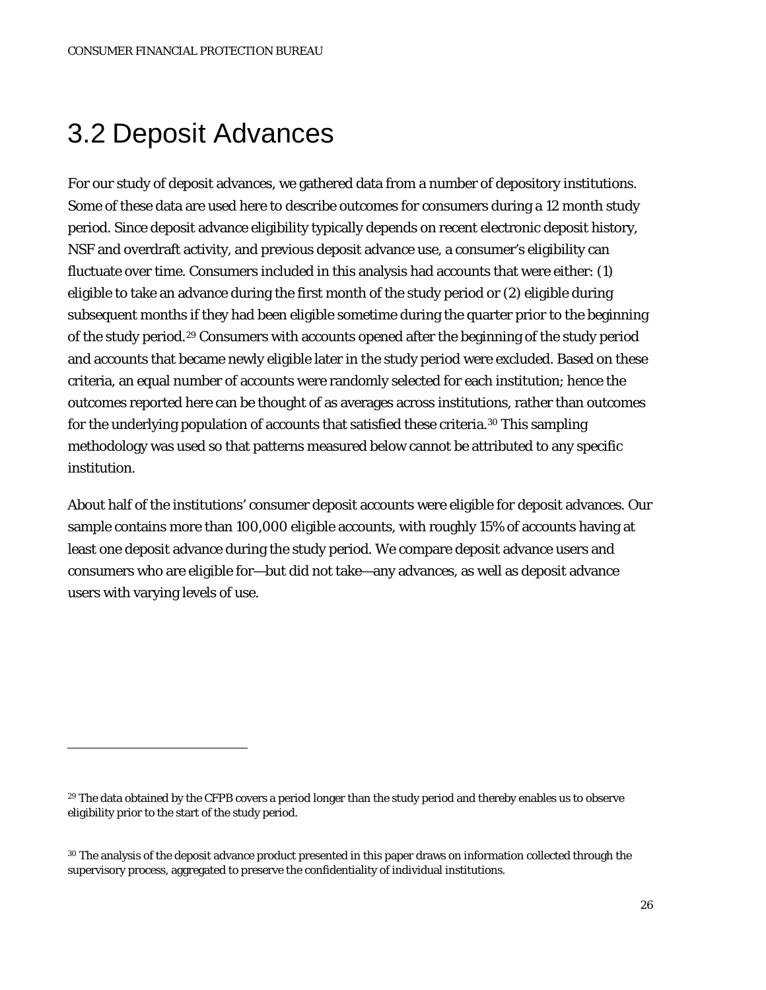## 3.2 Deposit Advances

 $\overline{a}$ 

For our study of deposit advances, we gathered data from a number of depository institutions. Some of these data are used here to describe outcomes for consumers during a 12 month study period. Since deposit advance eligibility typically depends on recent electronic deposit history, NSF and overdraft activity, and previous deposit advance use, a consumer's eligibility can fluctuate over time. Consumers included in this analysis had accounts that were either: (1) eligible to take an advance during the first month of the study period or (2) eligible during subsequent months if they had been eligible sometime during the quarter prior to the beginning of the study period.[29](#page-22-0) Consumers with accounts opened after the beginning of the study period and accounts that became newly eligible later in the study period were excluded. Based on these criteria, an equal number of accounts were randomly selected for each institution; hence the outcomes reported here can be thought of as averages across institutions, rather than outcomes for the underlying population of accounts that satisfied these criteria.<sup>[30](#page-25-0)</sup> This sampling methodology was used so that patterns measured below cannot be attributed to any specific institution.

About half of the institutions' consumer deposit accounts were eligible for deposit advances. Our sample contains more than 100,000 eligible accounts, with roughly 15% of accounts having at least one deposit advance during the study period. We compare deposit advance users and consumers who are eligible for—but did not take—any advances, as well as deposit advance users with varying levels of use.

<sup>&</sup>lt;sup>29</sup> The data obtained by the CFPB covers a period longer than the study period and thereby enables us to observe eligibility prior to the start of the study period.

<span id="page-25-1"></span><span id="page-25-0"></span><sup>&</sup>lt;sup>30</sup> The analysis of the deposit advance product presented in this paper draws on information collected through the supervisory process, aggregated to preserve the confidentiality of individual institutions.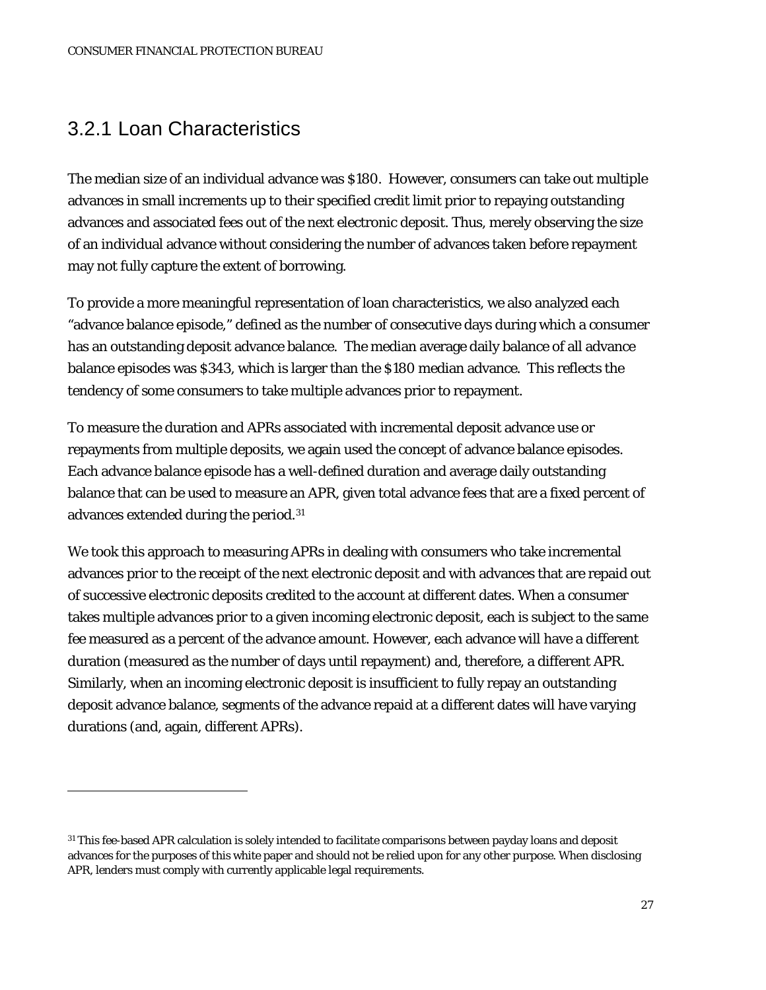#### 3.2.1 Loan Characteristics

 $\overline{a}$ 

The median size of an individual advance was \$180. However, consumers can take out multiple advances in small increments up to their specified credit limit prior to repaying outstanding advances and associated fees out of the next electronic deposit. Thus, merely observing the size of an individual advance without considering the number of advances taken before repayment may not fully capture the extent of borrowing.

To provide a more meaningful representation of loan characteristics, we also analyzed each "advance balance episode," defined as the number of consecutive days during which a consumer has an outstanding deposit advance balance. The median average daily balance of all advance balance episodes was \$343, which is larger than the \$180 median advance. This reflects the tendency of some consumers to take multiple advances prior to repayment.

To measure the duration and APRs associated with incremental deposit advance use or repayments from multiple deposits, we again used the concept of advance balance episodes. Each advance balance episode has a well-defined duration and average daily outstanding balance that can be used to measure an APR, given total advance fees that are a fixed percent of advances extended during the period.[31](#page-25-1)

We took this approach to measuring APRs in dealing with consumers who take incremental advances prior to the receipt of the next electronic deposit and with advances that are repaid out of successive electronic deposits credited to the account at different dates. When a consumer takes multiple advances prior to a given incoming electronic deposit, each is subject to the same fee measured as a percent of the advance amount. However, each advance will have a different duration (measured as the number of days until repayment) and, therefore, a different APR. Similarly, when an incoming electronic deposit is insufficient to fully repay an outstanding deposit advance balance, segments of the advance repaid at a different dates will have varying durations (and, again, different APRs).

<span id="page-26-0"></span><sup>31</sup> This fee-based APR calculation is solely intended to facilitate comparisons between payday loans and deposit advances for the purposes of this white paper and should not be relied upon for any other purpose. When disclosing APR, lenders must comply with currently applicable legal requirements.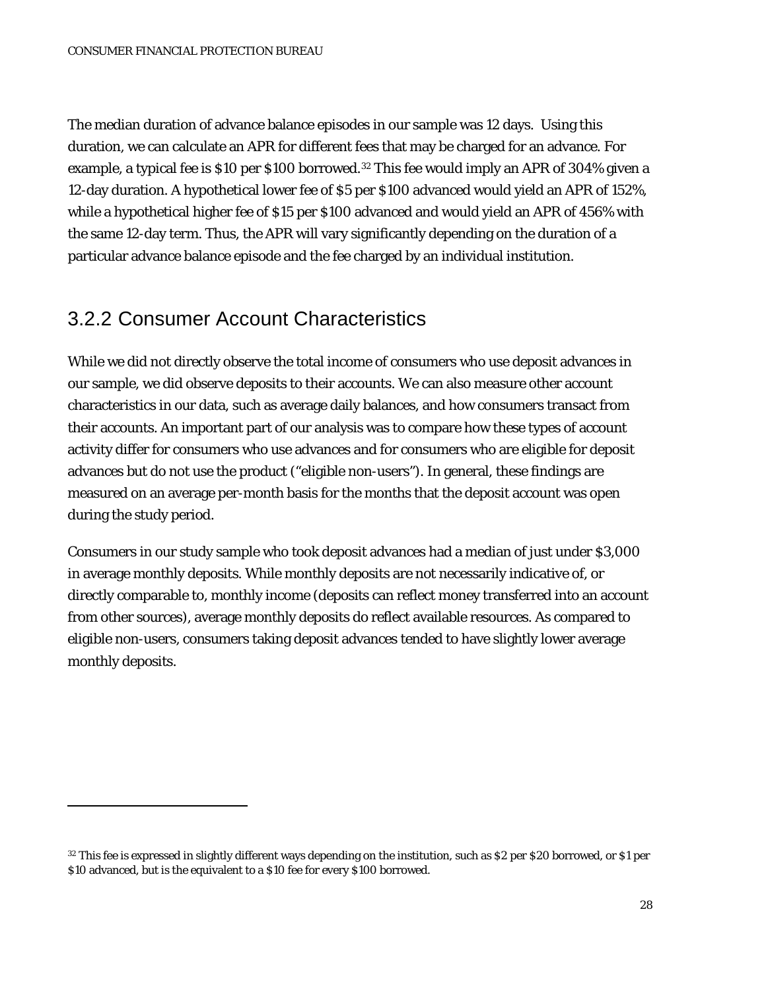The median duration of advance balance episodes in our sample was 12 days. Using this duration, we can calculate an APR for different fees that may be charged for an advance. For example, a typical fee is \$10 per \$100 borrowed.[32](#page-26-0) This fee would imply an APR of 304% given a 12-day duration. A hypothetical lower fee of \$5 per \$100 advanced would yield an APR of 152%, while a hypothetical higher fee of \$15 per \$100 advanced and would yield an APR of 456% with the same 12-day term. Thus, the APR will vary significantly depending on the duration of a particular advance balance episode and the fee charged by an individual institution.

#### 3.2.2 Consumer Account Characteristics

<span id="page-27-0"></span> $\overline{a}$ 

While we did not directly observe the total income of consumers who use deposit advances in our sample, we did observe deposits to their accounts. We can also measure other account characteristics in our data, such as average daily balances, and how consumers transact from their accounts. An important part of our analysis was to compare how these types of account activity differ for consumers who use advances and for consumers who are eligible for deposit advances but do not use the product ("eligible non-users"). In general, these findings are measured on an average per-month basis for the months that the deposit account was open during the study period.

Consumers in our study sample who took deposit advances had a median of just under \$3,000 in average monthly deposits. While monthly deposits are not necessarily indicative of, or directly comparable to, monthly income (deposits can reflect money transferred into an account from other sources), average monthly deposits do reflect available resources. As compared to eligible non-users, consumers taking deposit advances tended to have slightly lower average monthly deposits.

<sup>&</sup>lt;sup>32</sup> This fee is expressed in slightly different ways depending on the institution, such as \$2 per \$20 borrowed, or \$1 per \$10 advanced, but is the equivalent to a \$10 fee for every \$100 borrowed.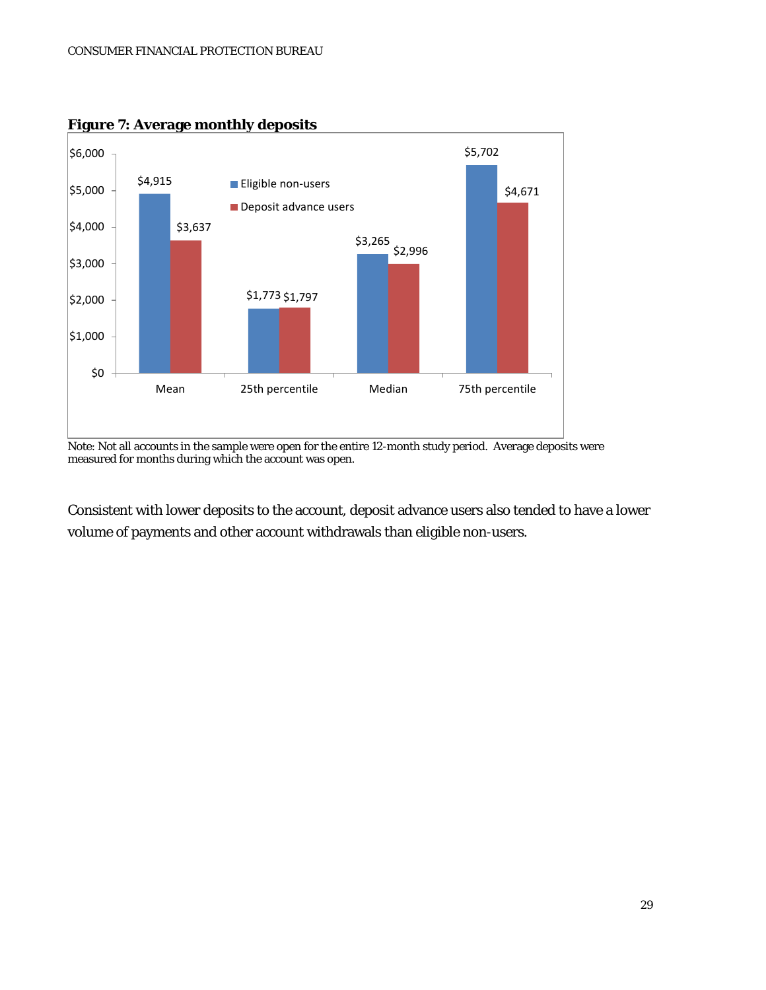

#### **Figure 7: Average monthly deposits**

Note: Not all accounts in the sample were open for the entire 12-month study period. Average deposits were measured for months during which the account was open.

Consistent with lower deposits to the account, deposit advance users also tended to have a lower volume of payments and other account withdrawals than eligible non-users.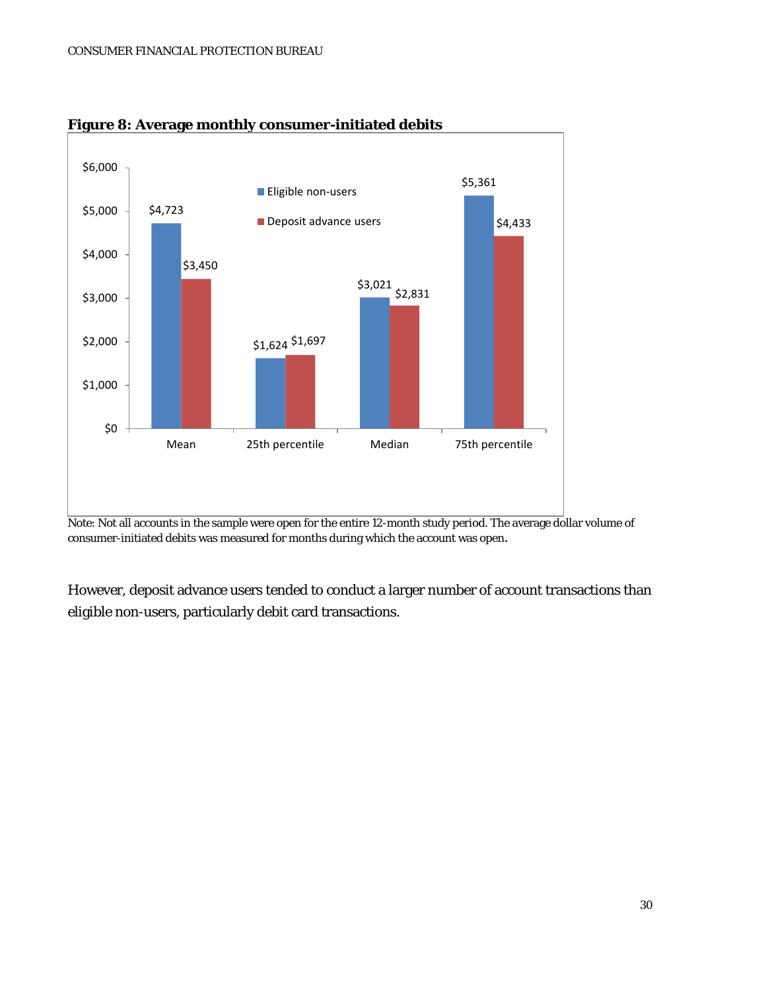

**Figure 8: Average monthly consumer-initiated debits**

Note: Not all accounts in the sample were open for the entire 12-month study period. The average dollar volume of consumer-initiated debits was measured for months during which the account was open.

However, deposit advance users tended to conduct a larger number of account transactions than eligible non-users, particularly debit card transactions.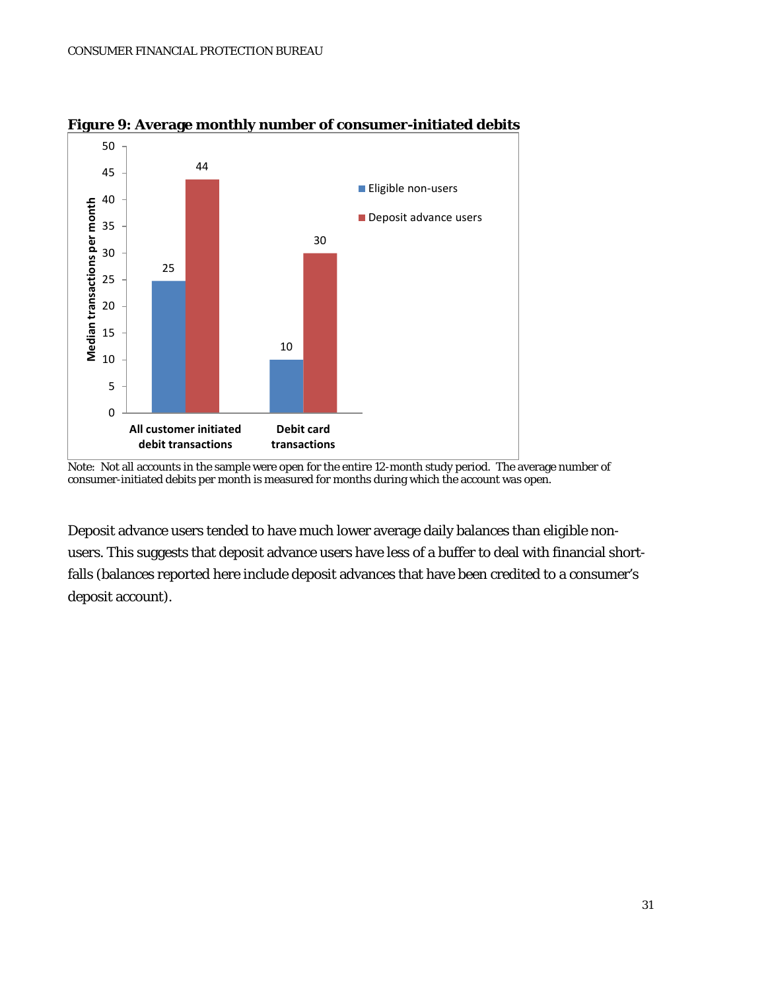

**Figure 9: Average monthly number of consumer-initiated debits**

Deposit advance users tended to have much lower average daily balances than eligible nonusers. This suggests that deposit advance users have less of a buffer to deal with financial shortfalls (balances reported here include deposit advances that have been credited to a consumer's deposit account).

Note: Not all accounts in the sample were open for the entire 12-month study period. The average number of consumer-initiated debits per month is measured for months during which the account was open.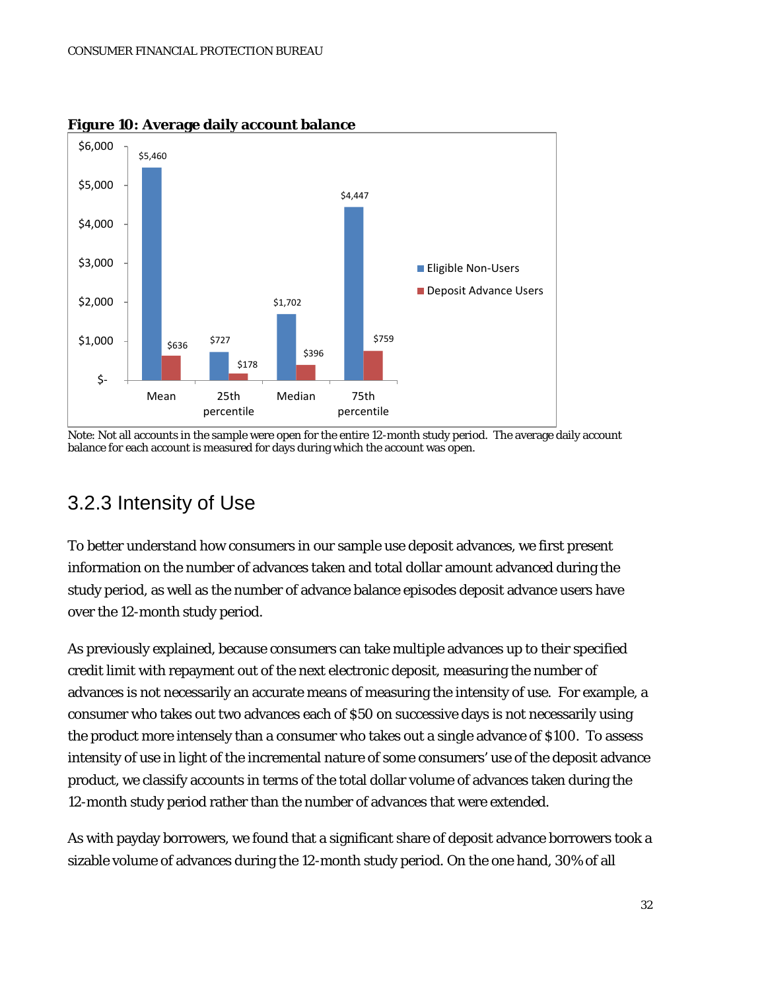

**Figure 10: Average daily account balance**

Note: Not all accounts in the sample were open for the entire 12-month study period. The average daily account balance for each account is measured for days during which the account was open.

### 3.2.3 Intensity of Use

To better understand how consumers in our sample use deposit advances, we first present information on the number of advances taken and total dollar amount advanced during the study period, as well as the number of advance balance episodes deposit advance users have over the 12-month study period.

As previously explained, because consumers can take multiple advances up to their specified credit limit with repayment out of the next electronic deposit, measuring the number of advances is not necessarily an accurate means of measuring the intensity of use. For example, a consumer who takes out two advances each of \$50 on successive days is not necessarily using the product more intensely than a consumer who takes out a single advance of \$100. To assess intensity of use in light of the incremental nature of some consumers' use of the deposit advance product, we classify accounts in terms of the total dollar volume of advances taken during the 12-month study period rather than the number of advances that were extended.

As with payday borrowers, we found that a significant share of deposit advance borrowers took a sizable volume of advances during the 12-month study period. On the one hand, 30% of all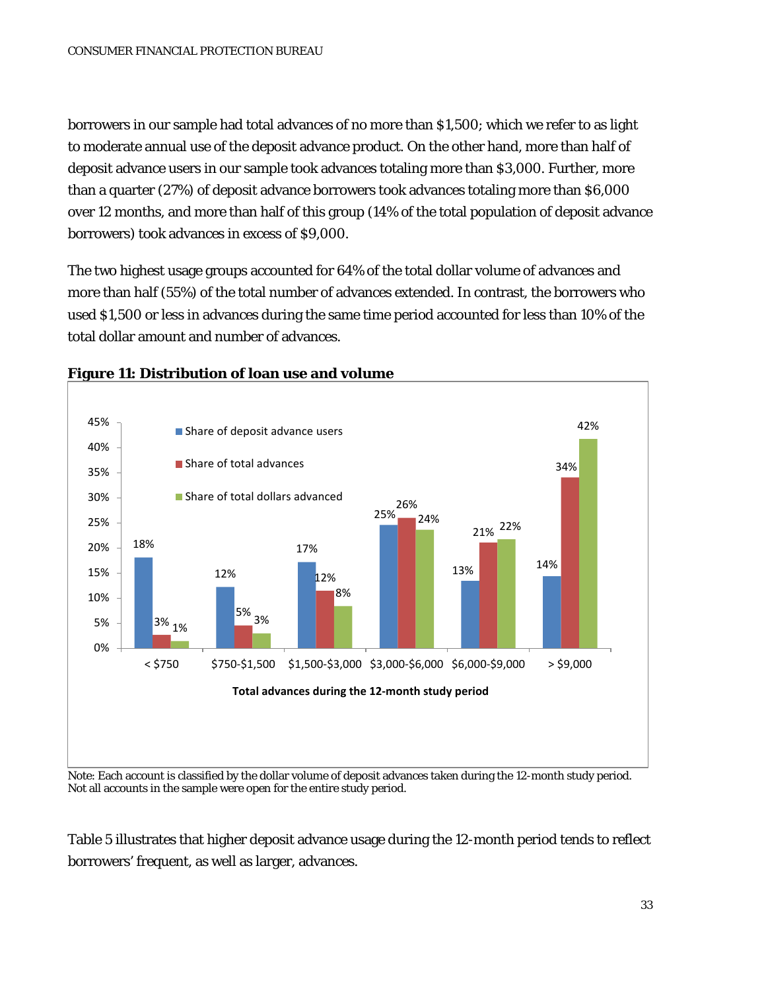borrowers in our sample had total advances of no more than \$1,500; which we refer to as light to moderate annual use of the deposit advance product. On the other hand, more than half of deposit advance users in our sample took advances totaling more than \$3,000. Further, more than a quarter (27%) of deposit advance borrowers took advances totaling more than \$6,000 over 12 months, and more than half of this group (14% of the total population of deposit advance borrowers) took advances in excess of \$9,000.

The two highest usage groups accounted for 64% of the total dollar volume of advances and more than half (55%) of the total number of advances extended. In contrast, the borrowers who used \$1,500 or less in advances during the same time period accounted for less than 10% of the total dollar amount and number of advances.



#### **Figure 11: Distribution of loan use and volume**

Note: Each account is classified by the dollar volume of deposit advances taken during the 12-month study period. Not all accounts in the sample were open for the entire study period.

Table 5 illustrates that higher deposit advance usage during the 12-month period tends to reflect borrowers' frequent, as well as larger, advances.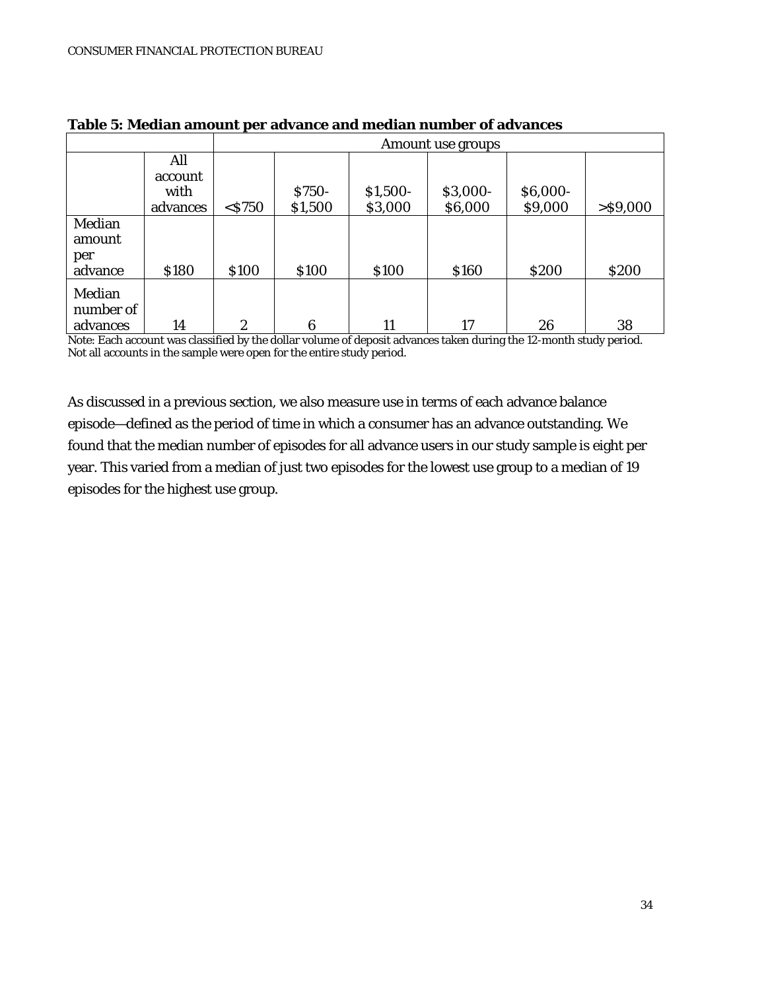|                                 |                 | Amount use groups |               |           |          |          |             |
|---------------------------------|-----------------|-------------------|---------------|-----------|----------|----------|-------------|
|                                 | All             |                   |               |           |          |          |             |
|                                 | account<br>with |                   | <b>\$750-</b> | $$1,500-$ | \$3,000- | \$6,000- |             |
|                                 | advances        | $<$ \$750         | \$1,500       | \$3,000   | \$6,000  | \$9,000  | $>$ \$9,000 |
| Median<br>amount                |                 |                   |               |           |          |          |             |
| per<br>advance                  | \$180           | \$100             | \$100         | \$100     | \$160    | \$200    | \$200       |
| Median<br>number of<br>advances | 14              | 2                 | 6             | 11        | 17       | 26       | 38          |

**Table 5: Median amount per advance and median number of advances**

Note: Each account was classified by the dollar volume of deposit advances taken during the 12-month study period. Not all accounts in the sample were open for the entire study period.

As discussed in a previous section, we also measure use in terms of each advance balance episode—defined as the period of time in which a consumer has an advance outstanding. We found that the median number of episodes for all advance users in our study sample is eight per year. This varied from a median of just two episodes for the lowest use group to a median of 19 episodes for the highest use group.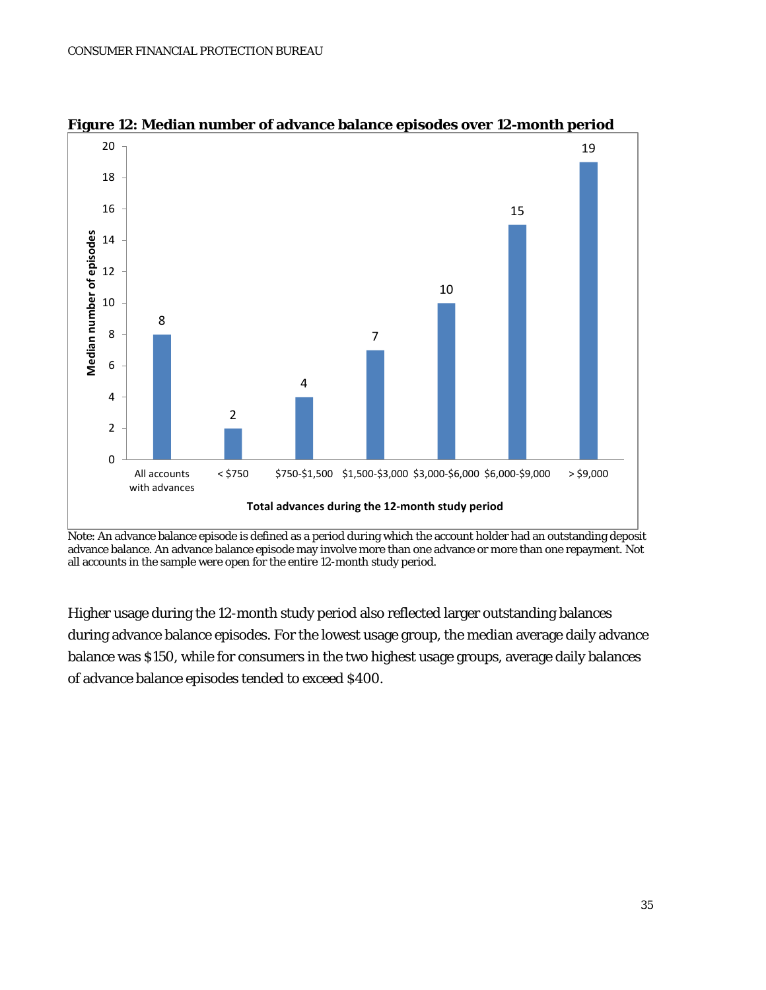

**Figure 12: Median number of advance balance episodes over 12-month period**

Higher usage during the 12-month study period also reflected larger outstanding balances during advance balance episodes. For the lowest usage group, the median average daily advance balance was \$150, while for consumers in the two highest usage groups, average daily balances of advance balance episodes tended to exceed \$400.

Note: An advance balance episode is defined as a period during which the account holder had an outstanding deposit advance balance. An advance balance episode may involve more than one advance or more than one repayment. Not all accounts in the sample were open for the entire 12-month study period.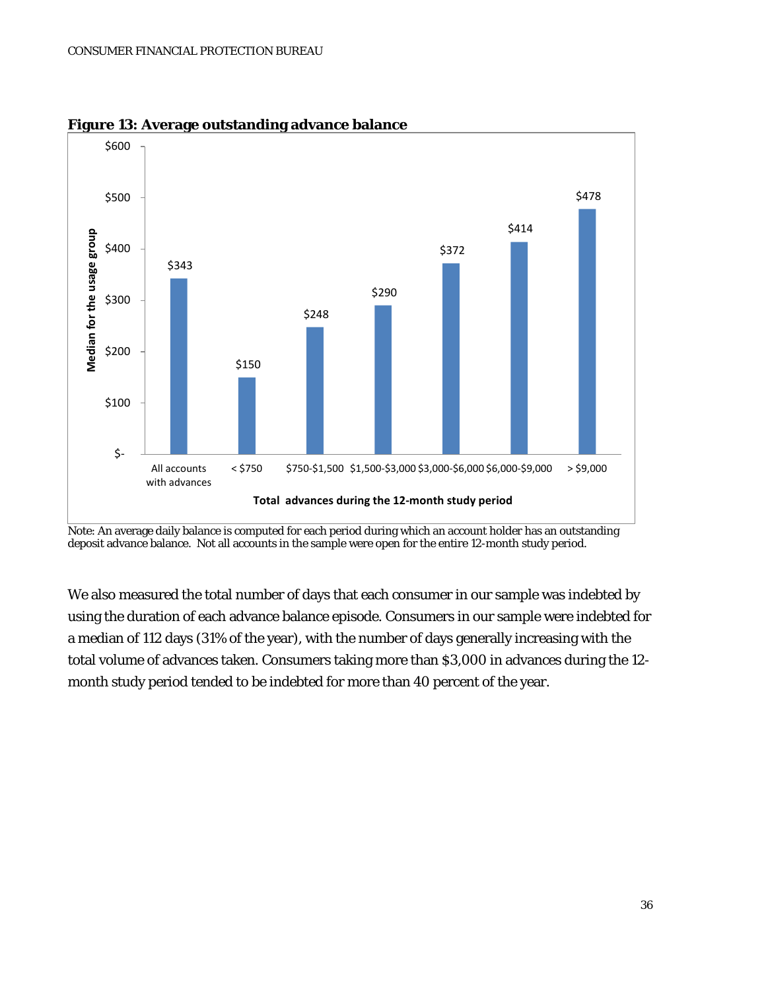

**Figure 13: Average outstanding advance balance** 

Note: An average daily balance is computed for each period during which an account holder has an outstanding deposit advance balance. Not all accounts in the sample were open for the entire 12-month study period.

We also measured the total number of days that each consumer in our sample was indebted by using the duration of each advance balance episode. Consumers in our sample were indebted for a median of 112 days (31% of the year), with the number of days generally increasing with the total volume of advances taken. Consumers taking more than \$3,000 in advances during the 12 month study period tended to be indebted for more than 40 percent of the year.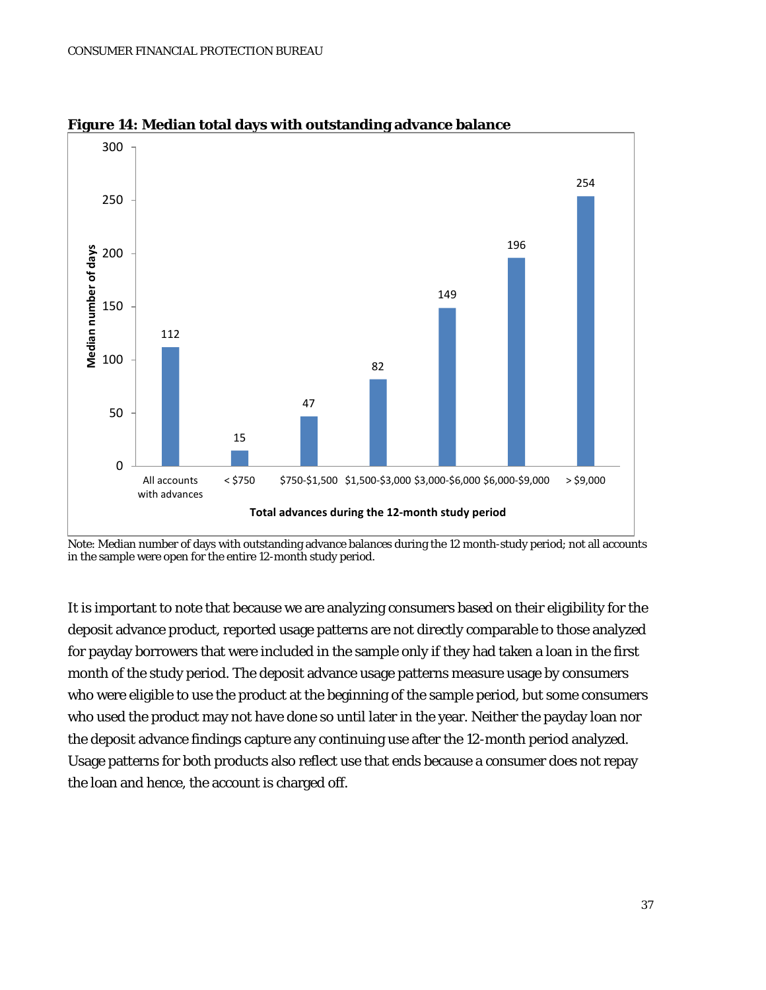

**Figure 14: Median total days with outstanding advance balance**

Note: Median number of days with outstanding advance balances during the 12 month-study period; not all accounts in the sample were open for the entire 12-month study period.

It is important to note that because we are analyzing consumers based on their eligibility for the deposit advance product, reported usage patterns are not directly comparable to those analyzed for payday borrowers that were included in the sample only if they had taken a loan in the first month of the study period. The deposit advance usage patterns measure usage by consumers who were eligible to use the product at the beginning of the sample period, but some consumers who used the product may not have done so until later in the year. Neither the payday loan nor the deposit advance findings capture any continuing use after the 12-month period analyzed. Usage patterns for both products also reflect use that ends because a consumer does not repay the loan and hence, the account is charged off.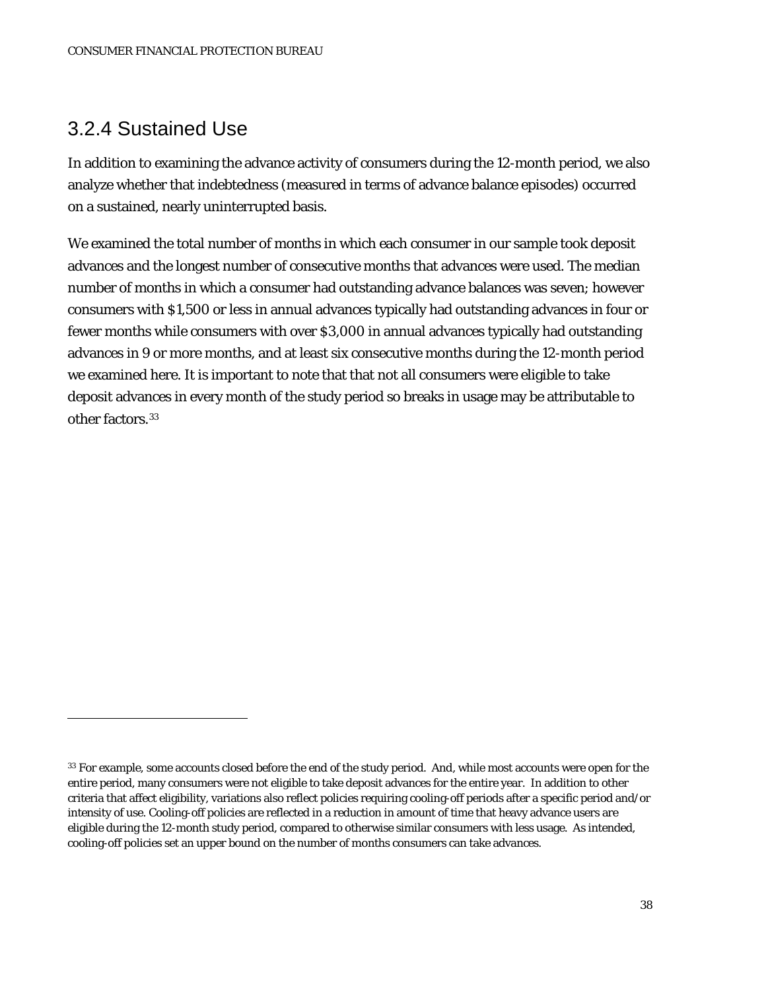#### 3.2.4 Sustained Use

 $\overline{a}$ 

In addition to examining the advance activity of consumers during the 12-month period, we also analyze whether that indebtedness (measured in terms of advance balance episodes) occurred on a sustained, nearly uninterrupted basis.

We examined the total number of months in which each consumer in our sample took deposit advances and the longest number of consecutive months that advances were used. The median number of months in which a consumer had outstanding advance balances was seven; however consumers with \$1,500 or less in annual advances typically had outstanding advances in four or fewer months while consumers with over \$3,000 in annual advances typically had outstanding advances in 9 or more months, and at least six consecutive months during the 12-month period we examined here. It is important to note that that not all consumers were eligible to take deposit advances in every month of the study period so breaks in usage may be attributable to other factors.<sup>33</sup>

<span id="page-37-0"></span><sup>33</sup> For example, some accounts closed before the end of the study period. And, while most accounts were open for the entire period, many consumers were not eligible to take deposit advances for the entire year. In addition to other criteria that affect eligibility, variations also reflect policies requiring cooling-off periods after a specific period and/or intensity of use. Cooling-off policies are reflected in a reduction in amount of time that heavy advance users are eligible during the 12-month study period, compared to otherwise similar consumers with less usage. As intended, cooling-off policies set an upper bound on the number of months consumers can take advances.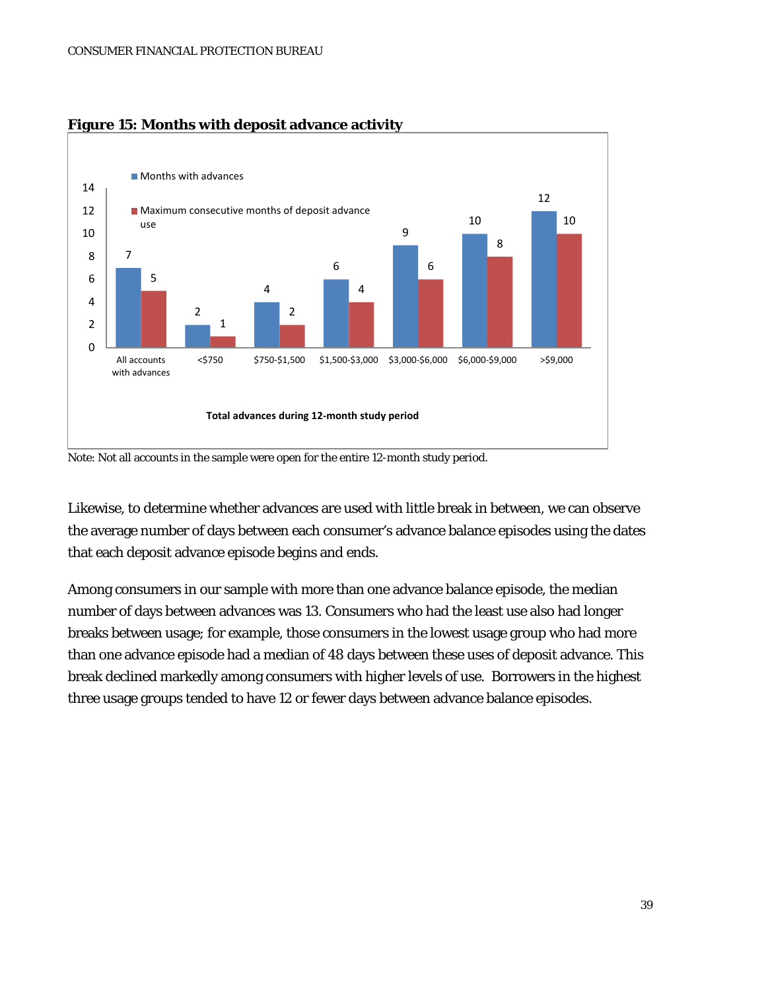

#### **Figure 15: Months with deposit advance activity**

Note: Not all accounts in the sample were open for the entire 12-month study period.

Likewise, to determine whether advances are used with little break in between, we can observe the average number of days between each consumer's advance balance episodes using the dates that each deposit advance episode begins and ends.

Among consumers in our sample with more than one advance balance episode, the median number of days between advances was 13. Consumers who had the least use also had longer breaks between usage; for example, those consumers in the lowest usage group who had more than one advance episode had a median of 48 days between these uses of deposit advance. This break declined markedly among consumers with higher levels of use. Borrowers in the highest three usage groups tended to have 12 or fewer days between advance balance episodes.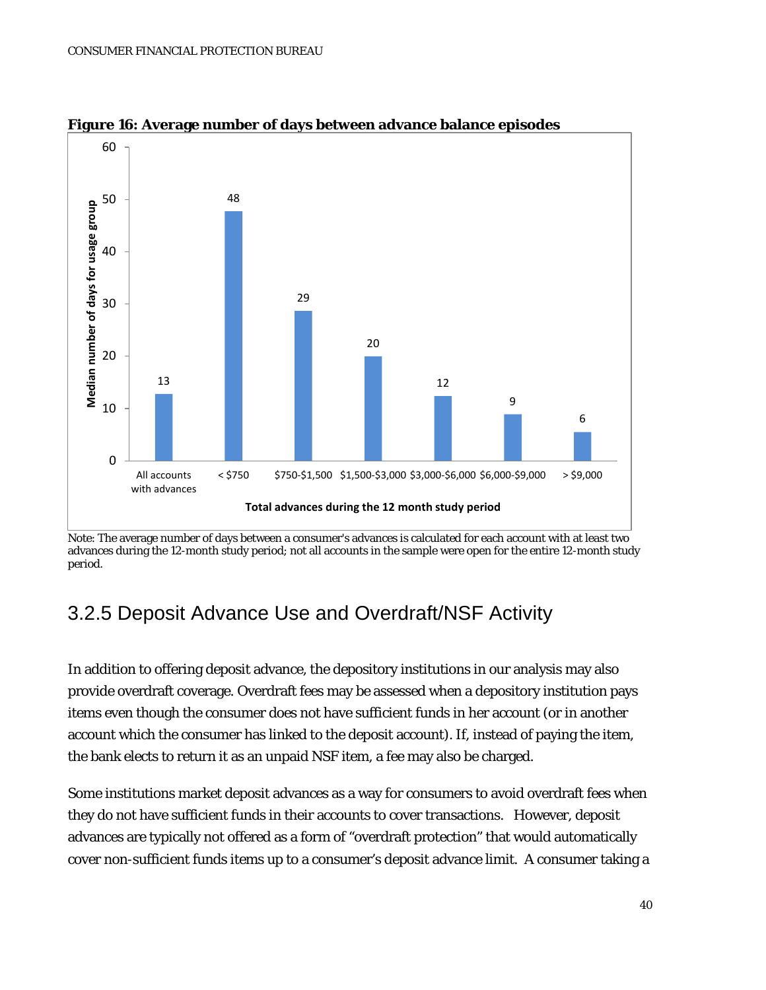

**Figure 16: Average number of days between advance balance episodes**

### 3.2.5 Deposit Advance Use and Overdraft/NSF Activity

In addition to offering deposit advance, the depository institutions in our analysis may also provide overdraft coverage. Overdraft fees may be assessed when a depository institution pays items even though the consumer does not have sufficient funds in her account (or in another account which the consumer has linked to the deposit account). If, instead of paying the item, the bank elects to return it as an unpaid NSF item, a fee may also be charged.

Some institutions market deposit advances as a way for consumers to avoid overdraft fees when they do not have sufficient funds in their accounts to cover transactions. However, deposit advances are typically not offered as a form of "overdraft protection" that would automatically cover non-sufficient funds items up to a consumer's deposit advance limit. A consumer taking a

Note: The average number of days between a consumer's advances is calculated for each account with at least two advances during the 12-month study period; not all accounts in the sample were open for the entire 12-month study period.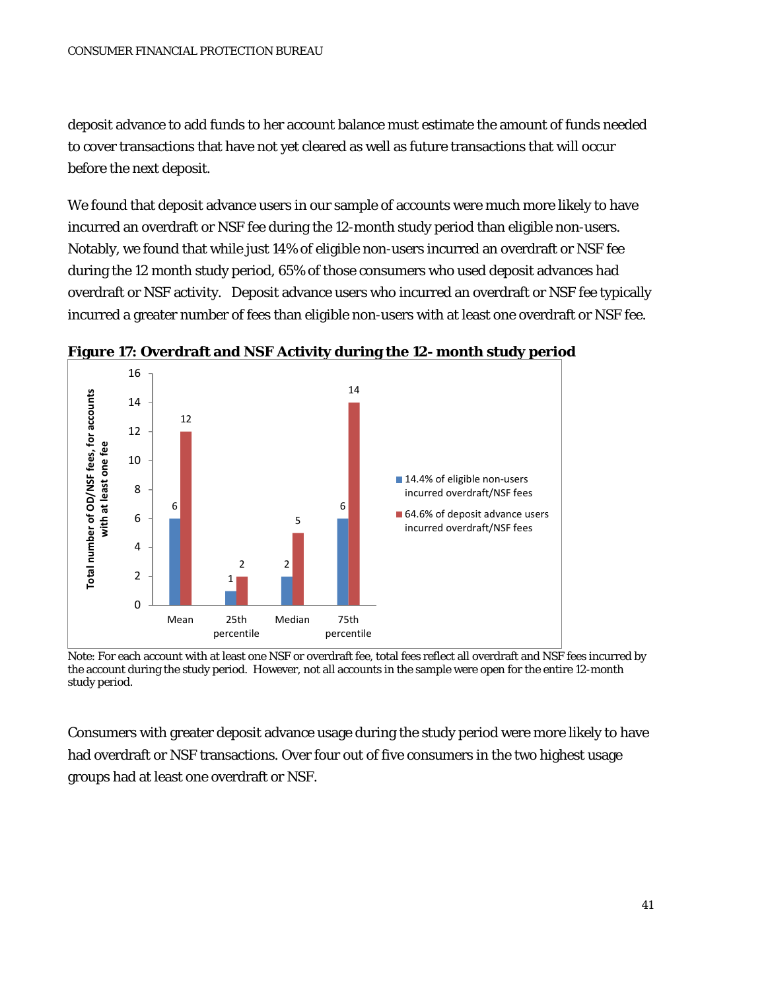deposit advance to add funds to her account balance must estimate the amount of funds needed to cover transactions that have not yet cleared as well as future transactions that will occur before the next deposit.

We found that deposit advance users in our sample of accounts were much more likely to have incurred an overdraft or NSF fee during the 12-month study period than eligible non-users. Notably, we found that while just 14% of eligible non-users incurred an overdraft or NSF fee during the 12 month study period, 65% of those consumers who used deposit advances had overdraft or NSF activity. Deposit advance users who incurred an overdraft or NSF fee typically incurred a greater number of fees than eligible non-users with at least one overdraft or NSF fee.



**Figure 17: Overdraft and NSF Activity during the 12- month study period** 

Note: For each account with at least one NSF or overdraft fee, total fees reflect all overdraft and NSF fees incurred by the account during the study period. However, not all accounts in the sample were open for the entire 12-month study period.

Consumers with greater deposit advance usage during the study period were more likely to have had overdraft or NSF transactions. Over four out of five consumers in the two highest usage groups had at least one overdraft or NSF.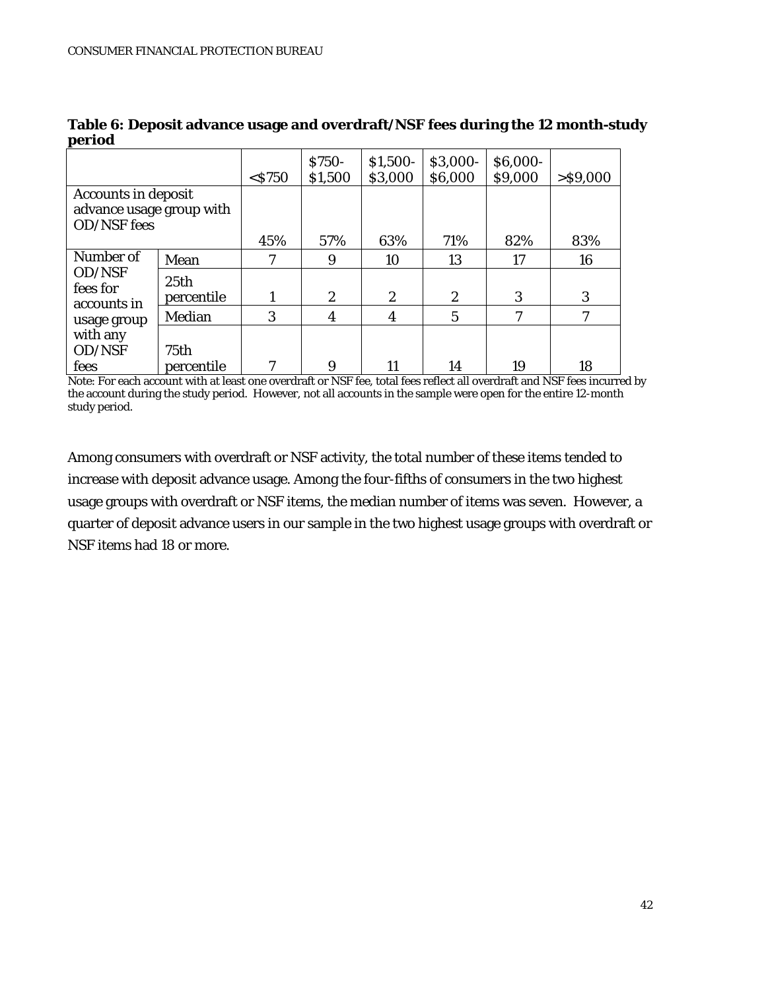|                                                                              |                                | $<$ \$750 | S750-<br>\$1,500 | $$1,500-$<br>\$3,000 | \$3,000-<br>\$6,000 | \$6,000-<br>\$9,000 | $>$ \$9,000 |
|------------------------------------------------------------------------------|--------------------------------|-----------|------------------|----------------------|---------------------|---------------------|-------------|
| <b>Accounts in deposit</b><br>advance usage group with<br><b>OD/NSF</b> fees |                                |           |                  |                      |                     |                     |             |
|                                                                              |                                | 45%       | 57%              | 63%                  | 71%                 | 82%                 | 83%         |
| Number of                                                                    | Mean                           | 7         | 9                | 10                   | 13                  | 17                  | 16          |
| OD/NSF<br>fees for<br>accounts in                                            | 25 <sub>th</sub><br>percentile |           | $\overline{2}$   | $\boldsymbol{2}$     | $\overline{2}$      | 3                   | 3           |
| usage group                                                                  | Median                         | 3         | 4                | 4                    | 5                   | 7                   | 7           |
| with any<br>OD/NSF                                                           | 75th                           | 7         |                  |                      |                     |                     |             |
| fees                                                                         | percentile                     |           | 9                | 11                   | 14                  | 19                  | 18          |

**Table 6: Deposit advance usage and overdraft/NSF fees during the 12 month-study period**

Note: For each account with at least one overdraft or NSF fee, total fees reflect all overdraft and NSF fees incurred by the account during the study period. However, not all accounts in the sample were open for the entire 12-month study period.

Among consumers with overdraft or NSF activity, the total number of these items tended to increase with deposit advance usage. Among the four-fifths of consumers in the two highest usage groups with overdraft or NSF items, the median number of items was seven. However, a quarter of deposit advance users in our sample in the two highest usage groups with overdraft or NSF items had 18 or more.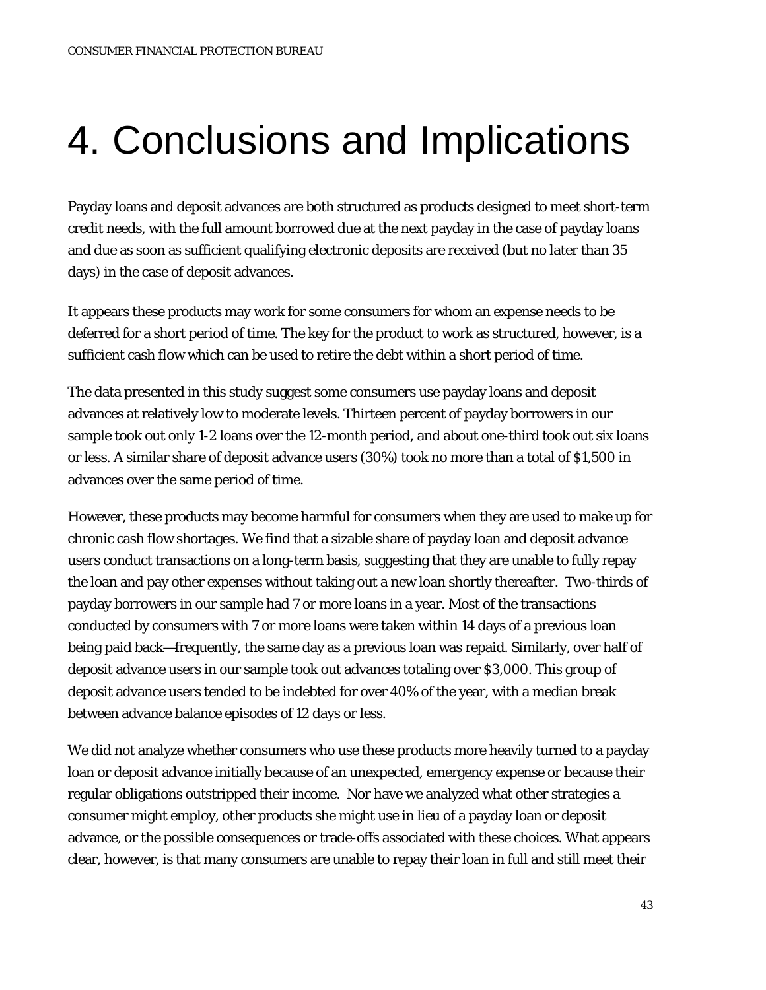# 4. Conclusions and Implications

Payday loans and deposit advances are both structured as products designed to meet short-term credit needs, with the full amount borrowed due at the next payday in the case of payday loans and due as soon as sufficient qualifying electronic deposits are received (but no later than 35 days) in the case of deposit advances.

It appears these products may work for some consumers for whom an expense needs to be deferred for a short period of time. The key for the product to work as structured, however, is a sufficient cash flow which can be used to retire the debt within a short period of time.

The data presented in this study suggest some consumers use payday loans and deposit advances at relatively low to moderate levels. Thirteen percent of payday borrowers in our sample took out only 1-2 loans over the 12-month period, and about one-third took out six loans or less. A similar share of deposit advance users (30%) took no more than a total of \$1,500 in advances over the same period of time.

However, these products may become harmful for consumers when they are used to make up for chronic cash flow shortages. We find that a sizable share of payday loan and deposit advance users conduct transactions on a long-term basis, suggesting that they are unable to fully repay the loan and pay other expenses without taking out a new loan shortly thereafter. Two-thirds of payday borrowers in our sample had 7 or more loans in a year. Most of the transactions conducted by consumers with 7 or more loans were taken within 14 days of a previous loan being paid back—frequently, the same day as a previous loan was repaid. Similarly, over half of deposit advance users in our sample took out advances totaling over \$3,000. This group of deposit advance users tended to be indebted for over 40% of the year, with a median break between advance balance episodes of 12 days or less.

We did not analyze whether consumers who use these products more heavily turned to a payday loan or deposit advance initially because of an unexpected, emergency expense or because their regular obligations outstripped their income. Nor have we analyzed what other strategies a consumer might employ, other products she might use in lieu of a payday loan or deposit advance, or the possible consequences or trade-offs associated with these choices. What appears clear, however, is that many consumers are unable to repay their loan in full and still meet their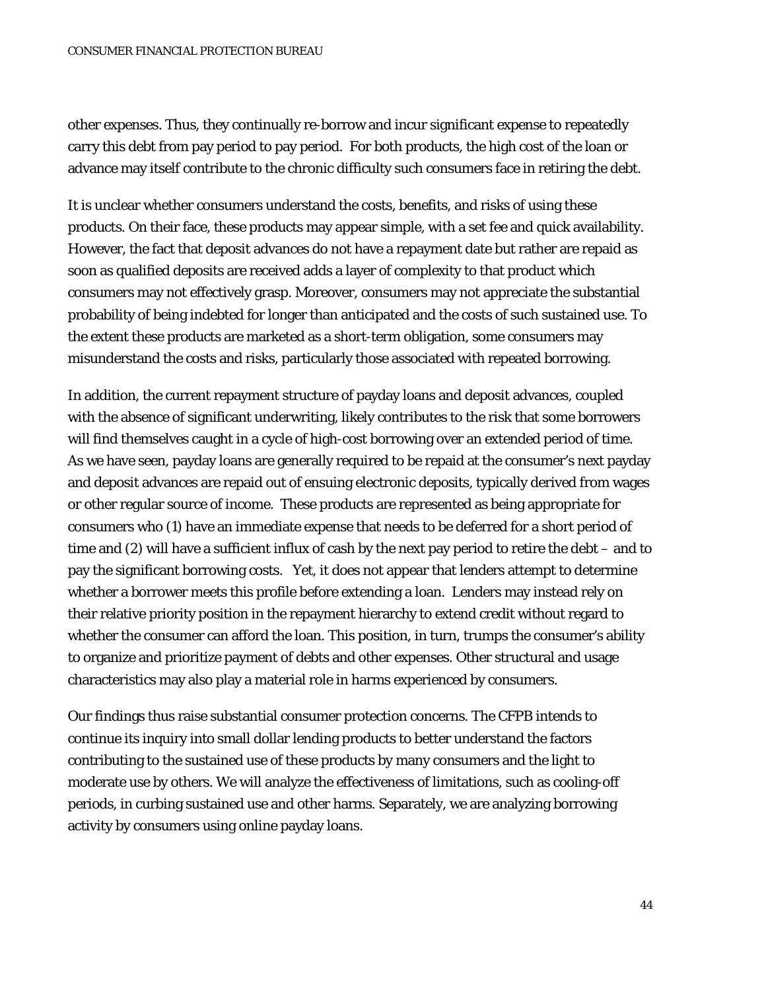other expenses. Thus, they continually re-borrow and incur significant expense to repeatedly carry this debt from pay period to pay period. For both products, the high cost of the loan or advance may itself contribute to the chronic difficulty such consumers face in retiring the debt.

It is unclear whether consumers understand the costs, benefits, and risks of using these products. On their face, these products may appear simple, with a set fee and quick availability. However, the fact that deposit advances do not have a repayment date but rather are repaid as soon as qualified deposits are received adds a layer of complexity to that product which consumers may not effectively grasp. Moreover, consumers may not appreciate the substantial probability of being indebted for longer than anticipated and the costs of such sustained use. To the extent these products are marketed as a short-term obligation, some consumers may misunderstand the costs and risks, particularly those associated with repeated borrowing.

In addition, the current repayment structure of payday loans and deposit advances, coupled with the absence of significant underwriting, likely contributes to the risk that some borrowers will find themselves caught in a cycle of high-cost borrowing over an extended period of time. As we have seen, payday loans are generally required to be repaid at the consumer's next payday and deposit advances are repaid out of ensuing electronic deposits, typically derived from wages or other regular source of income. These products are represented as being appropriate for consumers who (1) have an immediate expense that needs to be deferred for a short period of time and (2) will have a sufficient influx of cash by the next pay period to retire the debt – and to pay the significant borrowing costs. Yet, it does not appear that lenders attempt to determine whether a borrower meets this profile before extending a loan. Lenders may instead rely on their relative priority position in the repayment hierarchy to extend credit without regard to whether the consumer can afford the loan. This position, in turn, trumps the consumer's ability to organize and prioritize payment of debts and other expenses. Other structural and usage characteristics may also play a material role in harms experienced by consumers.

Our findings thus raise substantial consumer protection concerns. The CFPB intends to continue its inquiry into small dollar lending products to better understand the factors contributing to the sustained use of these products by many consumers and the light to moderate use by others. We will analyze the effectiveness of limitations, such as cooling-off periods, in curbing sustained use and other harms. Separately, we are analyzing borrowing activity by consumers using online payday loans.